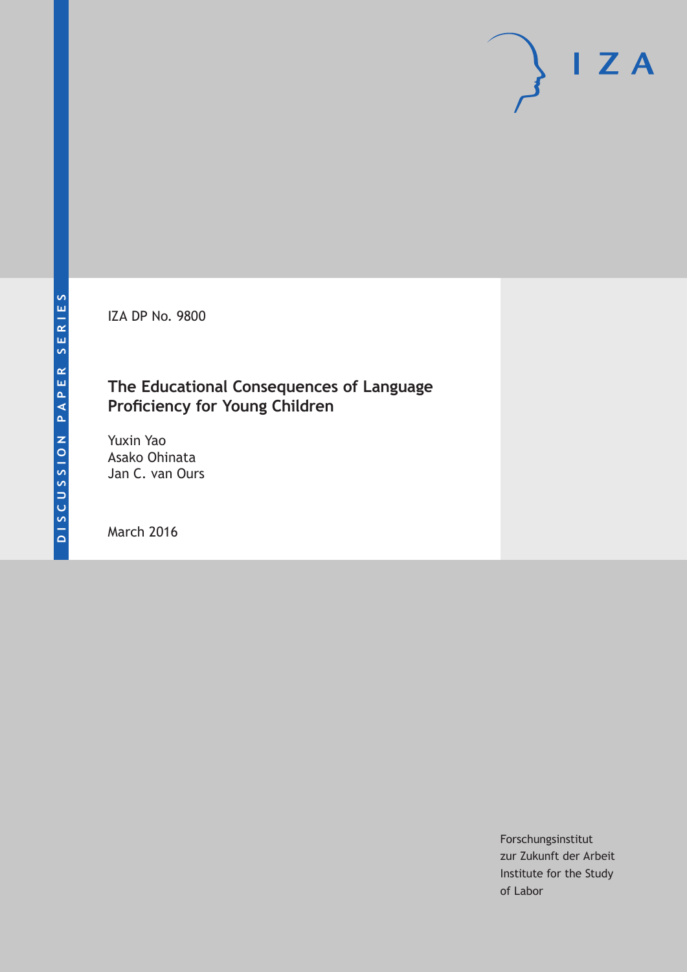IZA DP No. 9800

# **The Educational Consequences of Language Proficiency for Young Children**

Yuxin Yao Asako Ohinata Jan C. van Ours

March 2016

Forschungsinstitut zur Zukunft der Arbeit Institute for the Study of Labor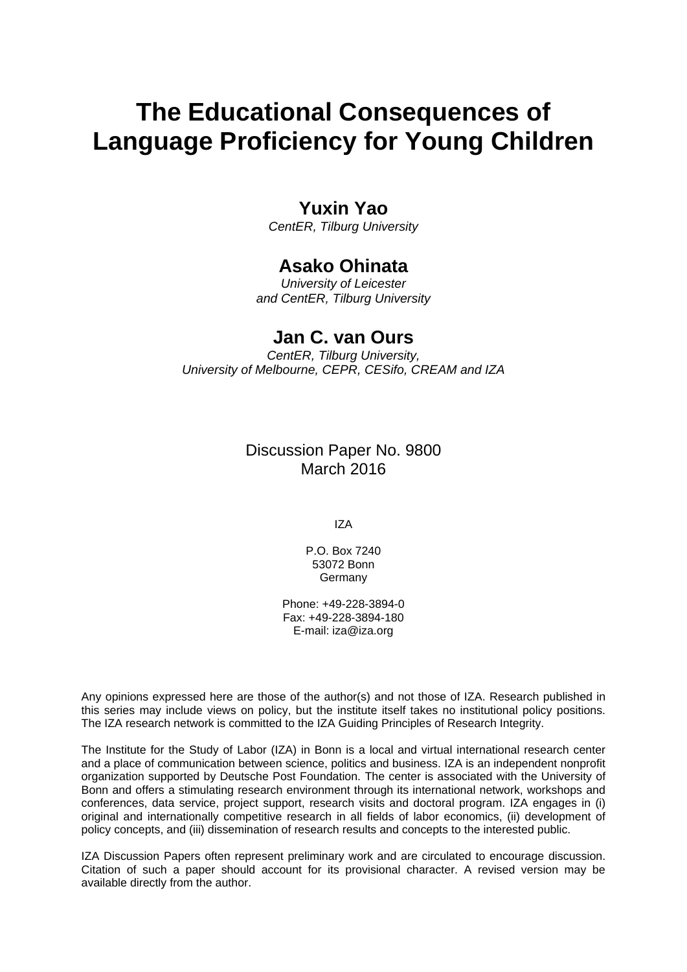# **The Educational Consequences of Language Proficiency for Young Children**

### **Yuxin Yao**

*CentER, Tilburg University* 

# **Asako Ohinata**

*University of Leicester and CentER, Tilburg University* 

### **Jan C. van Ours**

*CentER, Tilburg University, University of Melbourne, CEPR, CESifo, CREAM and IZA* 

### Discussion Paper No. 9800 March 2016

IZA

P.O. Box 7240 53072 Bonn **Germany** 

Phone: +49-228-3894-0 Fax: +49-228-3894-180 E-mail: iza@iza.org

Any opinions expressed here are those of the author(s) and not those of IZA. Research published in this series may include views on policy, but the institute itself takes no institutional policy positions. The IZA research network is committed to the IZA Guiding Principles of Research Integrity.

The Institute for the Study of Labor (IZA) in Bonn is a local and virtual international research center and a place of communication between science, politics and business. IZA is an independent nonprofit organization supported by Deutsche Post Foundation. The center is associated with the University of Bonn and offers a stimulating research environment through its international network, workshops and conferences, data service, project support, research visits and doctoral program. IZA engages in (i) original and internationally competitive research in all fields of labor economics, (ii) development of policy concepts, and (iii) dissemination of research results and concepts to the interested public.

IZA Discussion Papers often represent preliminary work and are circulated to encourage discussion. Citation of such a paper should account for its provisional character. A revised version may be available directly from the author.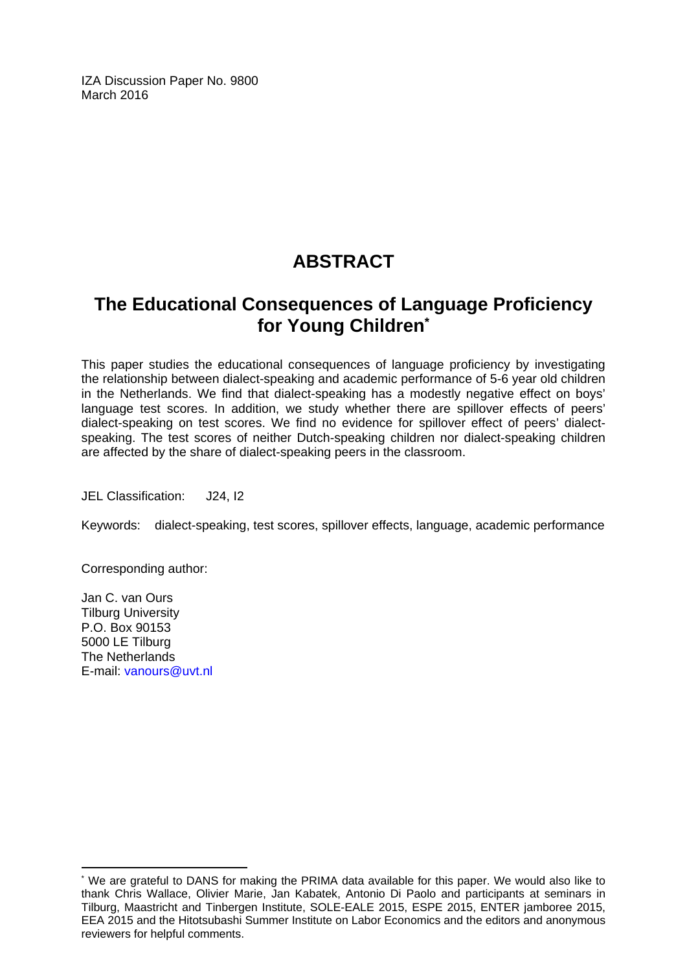IZA Discussion Paper No. 9800 March 2016

# **ABSTRACT**

# **The Educational Consequences of Language Proficiency for Young Children\***

This paper studies the educational consequences of language proficiency by investigating the relationship between dialect-speaking and academic performance of 5-6 year old children in the Netherlands. We find that dialect-speaking has a modestly negative effect on boys' language test scores. In addition, we study whether there are spillover effects of peers' dialect-speaking on test scores. We find no evidence for spillover effect of peers' dialectspeaking. The test scores of neither Dutch-speaking children nor dialect-speaking children are affected by the share of dialect-speaking peers in the classroom.

JEL Classification: J24, I2

Keywords: dialect-speaking, test scores, spillover effects, language, academic performance

Corresponding author:

Jan C. van Ours Tilburg University P.O. Box 90153 5000 LE Tilburg The Netherlands E-mail: vanours@uvt.nl

 $\overline{a}$ 

<sup>\*</sup> We are grateful to DANS for making the PRIMA data available for this paper. We would also like to thank Chris Wallace, Olivier Marie, Jan Kabatek, Antonio Di Paolo and participants at seminars in Tilburg, Maastricht and Tinbergen Institute, SOLE-EALE 2015, ESPE 2015, ENTER jamboree 2015, EEA 2015 and the Hitotsubashi Summer Institute on Labor Economics and the editors and anonymous reviewers for helpful comments.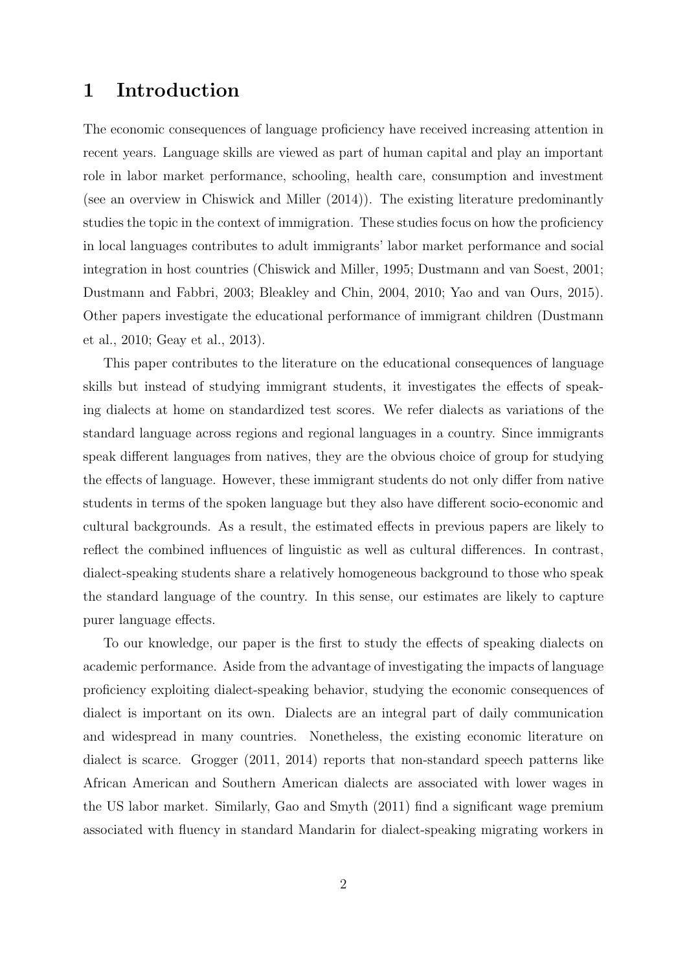## 1 Introduction

The economic consequences of language proficiency have received increasing attention in recent years. Language skills are viewed as part of human capital and play an important role in labor market performance, schooling, health care, consumption and investment (see an overview in Chiswick and Miller (2014)). The existing literature predominantly studies the topic in the context of immigration. These studies focus on how the proficiency in local languages contributes to adult immigrants' labor market performance and social integration in host countries (Chiswick and Miller, 1995; Dustmann and van Soest, 2001; Dustmann and Fabbri, 2003; Bleakley and Chin, 2004, 2010; Yao and van Ours, 2015). Other papers investigate the educational performance of immigrant children (Dustmann et al., 2010; Geay et al., 2013).

This paper contributes to the literature on the educational consequences of language skills but instead of studying immigrant students, it investigates the effects of speaking dialects at home on standardized test scores. We refer dialects as variations of the standard language across regions and regional languages in a country. Since immigrants speak different languages from natives, they are the obvious choice of group for studying the effects of language. However, these immigrant students do not only differ from native students in terms of the spoken language but they also have different socio-economic and cultural backgrounds. As a result, the estimated effects in previous papers are likely to reflect the combined influences of linguistic as well as cultural differences. In contrast, dialect-speaking students share a relatively homogeneous background to those who speak the standard language of the country. In this sense, our estimates are likely to capture purer language effects.

To our knowledge, our paper is the first to study the effects of speaking dialects on academic performance. Aside from the advantage of investigating the impacts of language proficiency exploiting dialect-speaking behavior, studying the economic consequences of dialect is important on its own. Dialects are an integral part of daily communication and widespread in many countries. Nonetheless, the existing economic literature on dialect is scarce. Grogger (2011, 2014) reports that non-standard speech patterns like African American and Southern American dialects are associated with lower wages in the US labor market. Similarly, Gao and Smyth (2011) find a significant wage premium associated with fluency in standard Mandarin for dialect-speaking migrating workers in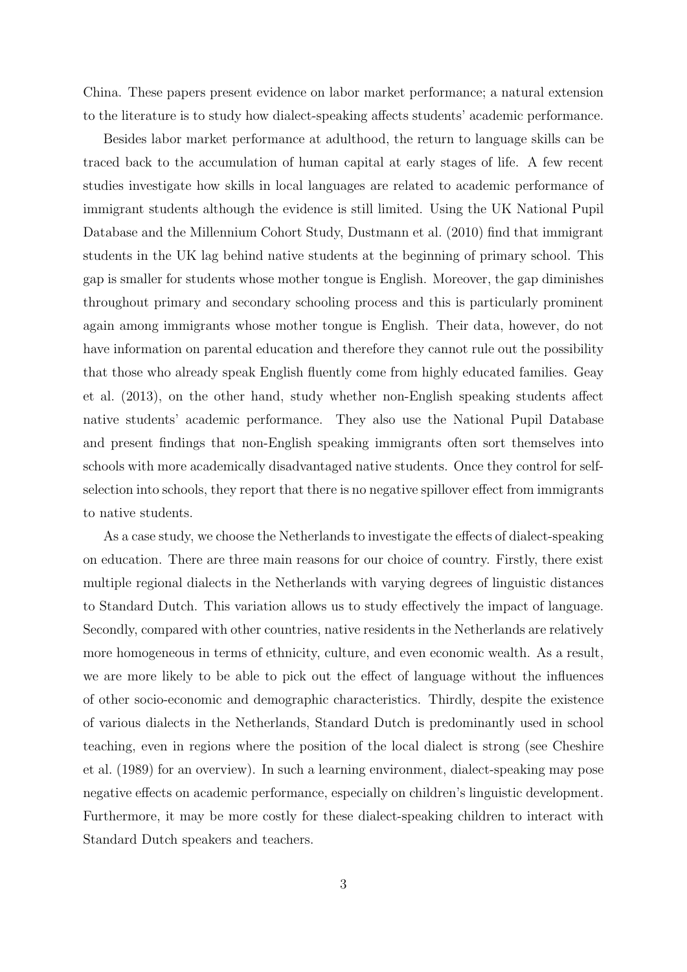China. These papers present evidence on labor market performance; a natural extension to the literature is to study how dialect-speaking affects students' academic performance.

Besides labor market performance at adulthood, the return to language skills can be traced back to the accumulation of human capital at early stages of life. A few recent studies investigate how skills in local languages are related to academic performance of immigrant students although the evidence is still limited. Using the UK National Pupil Database and the Millennium Cohort Study, Dustmann et al. (2010) find that immigrant students in the UK lag behind native students at the beginning of primary school. This gap is smaller for students whose mother tongue is English. Moreover, the gap diminishes throughout primary and secondary schooling process and this is particularly prominent again among immigrants whose mother tongue is English. Their data, however, do not have information on parental education and therefore they cannot rule out the possibility that those who already speak English fluently come from highly educated families. Geay et al. (2013), on the other hand, study whether non-English speaking students affect native students' academic performance. They also use the National Pupil Database and present findings that non-English speaking immigrants often sort themselves into schools with more academically disadvantaged native students. Once they control for selfselection into schools, they report that there is no negative spillover effect from immigrants to native students.

As a case study, we choose the Netherlands to investigate the effects of dialect-speaking on education. There are three main reasons for our choice of country. Firstly, there exist multiple regional dialects in the Netherlands with varying degrees of linguistic distances to Standard Dutch. This variation allows us to study effectively the impact of language. Secondly, compared with other countries, native residents in the Netherlands are relatively more homogeneous in terms of ethnicity, culture, and even economic wealth. As a result, we are more likely to be able to pick out the effect of language without the influences of other socio-economic and demographic characteristics. Thirdly, despite the existence of various dialects in the Netherlands, Standard Dutch is predominantly used in school teaching, even in regions where the position of the local dialect is strong (see Cheshire et al. (1989) for an overview). In such a learning environment, dialect-speaking may pose negative effects on academic performance, especially on children's linguistic development. Furthermore, it may be more costly for these dialect-speaking children to interact with Standard Dutch speakers and teachers.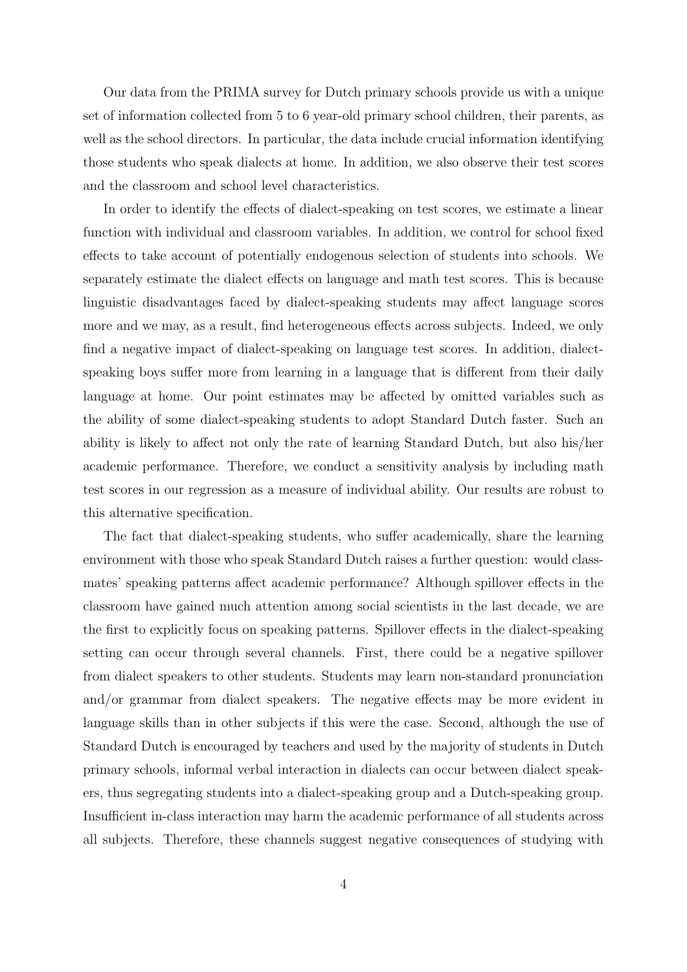Our data from the PRIMA survey for Dutch primary schools provide us with a unique set of information collected from 5 to 6 year-old primary school children, their parents, as well as the school directors. In particular, the data include crucial information identifying those students who speak dialects at home. In addition, we also observe their test scores and the classroom and school level characteristics.

In order to identify the effects of dialect-speaking on test scores, we estimate a linear function with individual and classroom variables. In addition, we control for school fixed effects to take account of potentially endogenous selection of students into schools. We separately estimate the dialect effects on language and math test scores. This is because linguistic disadvantages faced by dialect-speaking students may affect language scores more and we may, as a result, find heterogeneous effects across subjects. Indeed, we only find a negative impact of dialect-speaking on language test scores. In addition, dialectspeaking boys suffer more from learning in a language that is different from their daily language at home. Our point estimates may be affected by omitted variables such as the ability of some dialect-speaking students to adopt Standard Dutch faster. Such an ability is likely to affect not only the rate of learning Standard Dutch, but also his/her academic performance. Therefore, we conduct a sensitivity analysis by including math test scores in our regression as a measure of individual ability. Our results are robust to this alternative specification.

The fact that dialect-speaking students, who suffer academically, share the learning environment with those who speak Standard Dutch raises a further question: would classmates' speaking patterns affect academic performance? Although spillover effects in the classroom have gained much attention among social scientists in the last decade, we are the first to explicitly focus on speaking patterns. Spillover effects in the dialect-speaking setting can occur through several channels. First, there could be a negative spillover from dialect speakers to other students. Students may learn non-standard pronunciation and/or grammar from dialect speakers. The negative effects may be more evident in language skills than in other subjects if this were the case. Second, although the use of Standard Dutch is encouraged by teachers and used by the majority of students in Dutch primary schools, informal verbal interaction in dialects can occur between dialect speakers, thus segregating students into a dialect-speaking group and a Dutch-speaking group. Insufficient in-class interaction may harm the academic performance of all students across all subjects. Therefore, these channels suggest negative consequences of studying with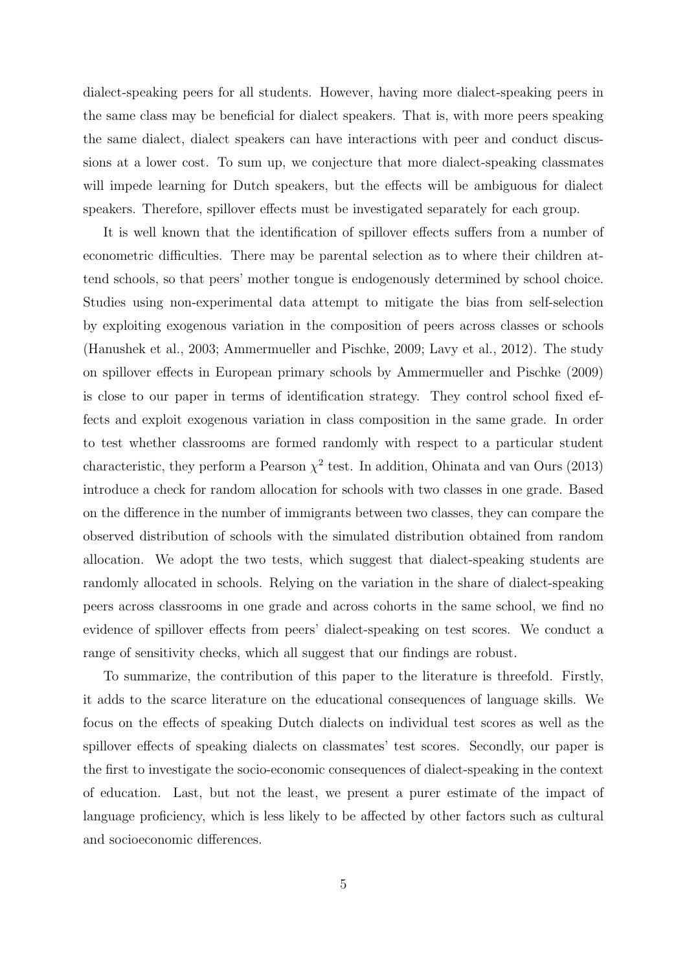dialect-speaking peers for all students. However, having more dialect-speaking peers in the same class may be beneficial for dialect speakers. That is, with more peers speaking the same dialect, dialect speakers can have interactions with peer and conduct discussions at a lower cost. To sum up, we conjecture that more dialect-speaking classmates will impede learning for Dutch speakers, but the effects will be ambiguous for dialect speakers. Therefore, spillover effects must be investigated separately for each group.

It is well known that the identification of spillover effects suffers from a number of econometric difficulties. There may be parental selection as to where their children attend schools, so that peers' mother tongue is endogenously determined by school choice. Studies using non-experimental data attempt to mitigate the bias from self-selection by exploiting exogenous variation in the composition of peers across classes or schools (Hanushek et al., 2003; Ammermueller and Pischke, 2009; Lavy et al., 2012). The study on spillover effects in European primary schools by Ammermueller and Pischke (2009) is close to our paper in terms of identification strategy. They control school fixed effects and exploit exogenous variation in class composition in the same grade. In order to test whether classrooms are formed randomly with respect to a particular student characteristic, they perform a Pearson  $\chi^2$  test. In addition, Ohinata and van Ours (2013) introduce a check for random allocation for schools with two classes in one grade. Based on the difference in the number of immigrants between two classes, they can compare the observed distribution of schools with the simulated distribution obtained from random allocation. We adopt the two tests, which suggest that dialect-speaking students are randomly allocated in schools. Relying on the variation in the share of dialect-speaking peers across classrooms in one grade and across cohorts in the same school, we find no evidence of spillover effects from peers' dialect-speaking on test scores. We conduct a range of sensitivity checks, which all suggest that our findings are robust.

To summarize, the contribution of this paper to the literature is threefold. Firstly, it adds to the scarce literature on the educational consequences of language skills. We focus on the effects of speaking Dutch dialects on individual test scores as well as the spillover effects of speaking dialects on classmates' test scores. Secondly, our paper is the first to investigate the socio-economic consequences of dialect-speaking in the context of education. Last, but not the least, we present a purer estimate of the impact of language proficiency, which is less likely to be affected by other factors such as cultural and socioeconomic differences.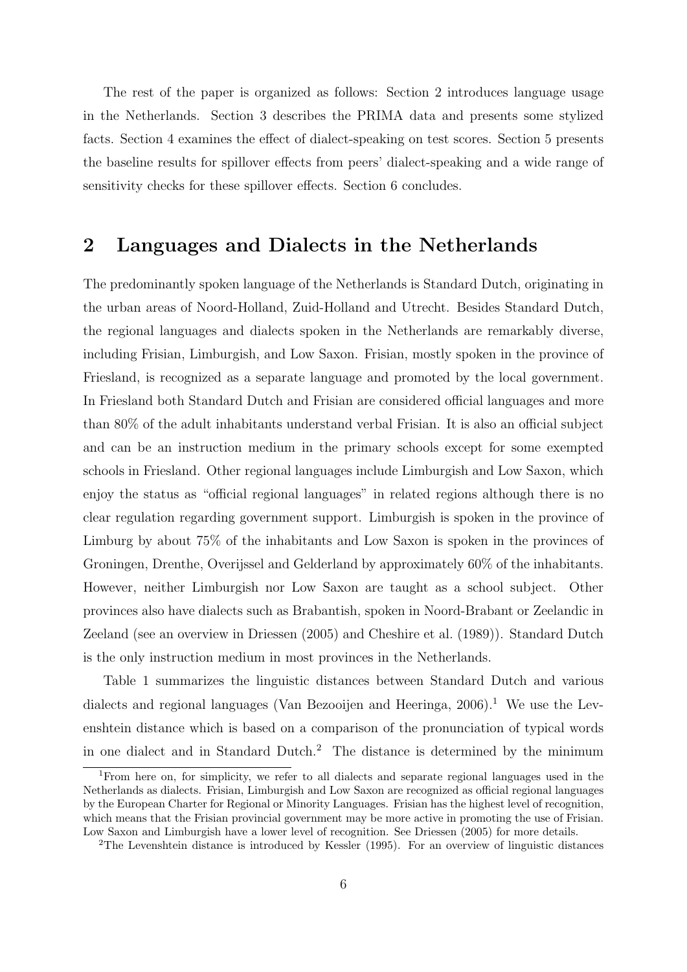The rest of the paper is organized as follows: Section 2 introduces language usage in the Netherlands. Section 3 describes the PRIMA data and presents some stylized facts. Section 4 examines the effect of dialect-speaking on test scores. Section 5 presents the baseline results for spillover effects from peers' dialect-speaking and a wide range of sensitivity checks for these spillover effects. Section 6 concludes.

### 2 Languages and Dialects in the Netherlands

The predominantly spoken language of the Netherlands is Standard Dutch, originating in the urban areas of Noord-Holland, Zuid-Holland and Utrecht. Besides Standard Dutch, the regional languages and dialects spoken in the Netherlands are remarkably diverse, including Frisian, Limburgish, and Low Saxon. Frisian, mostly spoken in the province of Friesland, is recognized as a separate language and promoted by the local government. In Friesland both Standard Dutch and Frisian are considered official languages and more than 80% of the adult inhabitants understand verbal Frisian. It is also an official subject and can be an instruction medium in the primary schools except for some exempted schools in Friesland. Other regional languages include Limburgish and Low Saxon, which enjoy the status as "official regional languages" in related regions although there is no clear regulation regarding government support. Limburgish is spoken in the province of Limburg by about 75% of the inhabitants and Low Saxon is spoken in the provinces of Groningen, Drenthe, Overijssel and Gelderland by approximately 60% of the inhabitants. However, neither Limburgish nor Low Saxon are taught as a school subject. Other provinces also have dialects such as Brabantish, spoken in Noord-Brabant or Zeelandic in Zeeland (see an overview in Driessen (2005) and Cheshire et al. (1989)). Standard Dutch is the only instruction medium in most provinces in the Netherlands.

Table 1 summarizes the linguistic distances between Standard Dutch and various dialects and regional languages (Van Bezooijen and Heeringa,  $2006$ ).<sup>1</sup> We use the Levenshtein distance which is based on a comparison of the pronunciation of typical words in one dialect and in Standard Dutch.<sup>2</sup> The distance is determined by the minimum

<sup>&</sup>lt;sup>1</sup>From here on, for simplicity, we refer to all dialects and separate regional languages used in the Netherlands as dialects. Frisian, Limburgish and Low Saxon are recognized as official regional languages by the European Charter for Regional or Minority Languages. Frisian has the highest level of recognition, which means that the Frisian provincial government may be more active in promoting the use of Frisian. Low Saxon and Limburgish have a lower level of recognition. See Driessen (2005) for more details.

<sup>2</sup>The Levenshtein distance is introduced by Kessler (1995). For an overview of linguistic distances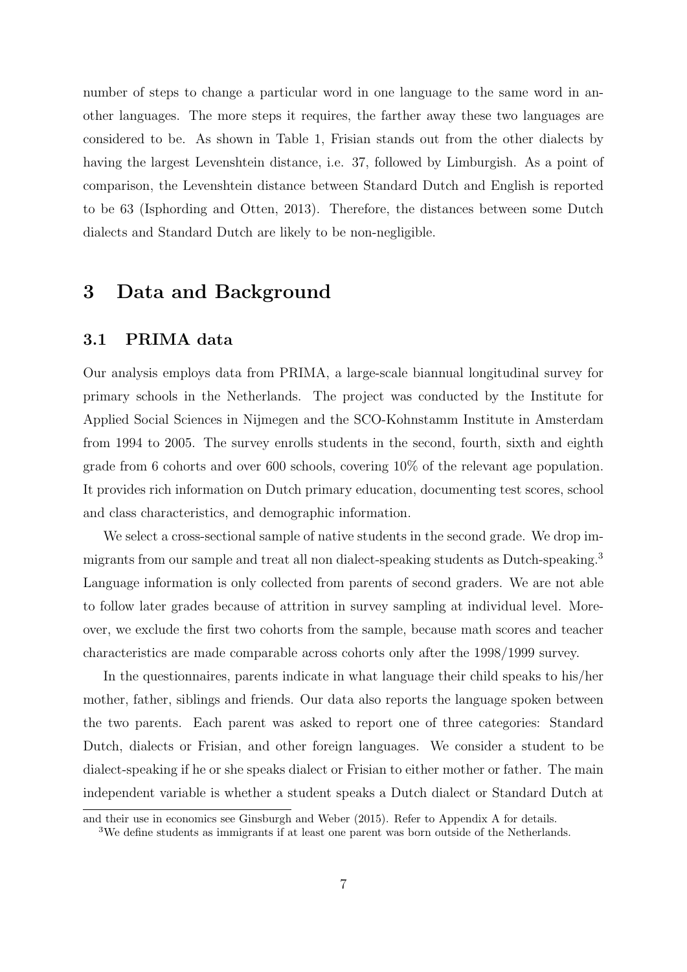number of steps to change a particular word in one language to the same word in another languages. The more steps it requires, the farther away these two languages are considered to be. As shown in Table 1, Frisian stands out from the other dialects by having the largest Levenshtein distance, i.e. 37, followed by Limburgish. As a point of comparison, the Levenshtein distance between Standard Dutch and English is reported to be 63 (Isphording and Otten, 2013). Therefore, the distances between some Dutch dialects and Standard Dutch are likely to be non-negligible.

### 3 Data and Background

#### 3.1 PRIMA data

Our analysis employs data from PRIMA, a large-scale biannual longitudinal survey for primary schools in the Netherlands. The project was conducted by the Institute for Applied Social Sciences in Nijmegen and the SCO-Kohnstamm Institute in Amsterdam from 1994 to 2005. The survey enrolls students in the second, fourth, sixth and eighth grade from 6 cohorts and over 600 schools, covering 10% of the relevant age population. It provides rich information on Dutch primary education, documenting test scores, school and class characteristics, and demographic information.

We select a cross-sectional sample of native students in the second grade. We drop immigrants from our sample and treat all non dialect-speaking students as Dutch-speaking.<sup>3</sup> Language information is only collected from parents of second graders. We are not able to follow later grades because of attrition in survey sampling at individual level. Moreover, we exclude the first two cohorts from the sample, because math scores and teacher characteristics are made comparable across cohorts only after the 1998/1999 survey.

In the questionnaires, parents indicate in what language their child speaks to his/her mother, father, siblings and friends. Our data also reports the language spoken between the two parents. Each parent was asked to report one of three categories: Standard Dutch, dialects or Frisian, and other foreign languages. We consider a student to be dialect-speaking if he or she speaks dialect or Frisian to either mother or father. The main independent variable is whether a student speaks a Dutch dialect or Standard Dutch at

and their use in economics see Ginsburgh and Weber (2015). Refer to Appendix A for details.

<sup>3</sup>We define students as immigrants if at least one parent was born outside of the Netherlands.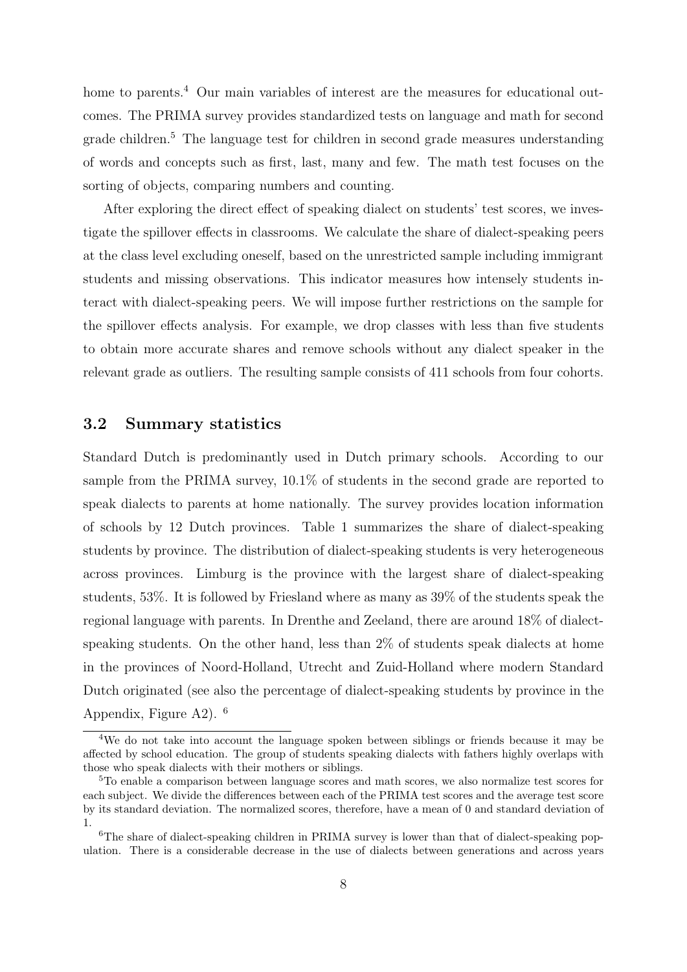home to parents.<sup>4</sup> Our main variables of interest are the measures for educational outcomes. The PRIMA survey provides standardized tests on language and math for second grade children.<sup>5</sup> The language test for children in second grade measures understanding of words and concepts such as first, last, many and few. The math test focuses on the sorting of objects, comparing numbers and counting.

After exploring the direct effect of speaking dialect on students' test scores, we investigate the spillover effects in classrooms. We calculate the share of dialect-speaking peers at the class level excluding oneself, based on the unrestricted sample including immigrant students and missing observations. This indicator measures how intensely students interact with dialect-speaking peers. We will impose further restrictions on the sample for the spillover effects analysis. For example, we drop classes with less than five students to obtain more accurate shares and remove schools without any dialect speaker in the relevant grade as outliers. The resulting sample consists of 411 schools from four cohorts.

### 3.2 Summary statistics

Standard Dutch is predominantly used in Dutch primary schools. According to our sample from the PRIMA survey, 10.1% of students in the second grade are reported to speak dialects to parents at home nationally. The survey provides location information of schools by 12 Dutch provinces. Table 1 summarizes the share of dialect-speaking students by province. The distribution of dialect-speaking students is very heterogeneous across provinces. Limburg is the province with the largest share of dialect-speaking students, 53%. It is followed by Friesland where as many as 39% of the students speak the regional language with parents. In Drenthe and Zeeland, there are around 18% of dialectspeaking students. On the other hand, less than 2% of students speak dialects at home in the provinces of Noord-Holland, Utrecht and Zuid-Holland where modern Standard Dutch originated (see also the percentage of dialect-speaking students by province in the Appendix, Figure A2). <sup>6</sup>

<sup>4</sup>We do not take into account the language spoken between siblings or friends because it may be affected by school education. The group of students speaking dialects with fathers highly overlaps with those who speak dialects with their mothers or siblings.

<sup>&</sup>lt;sup>5</sup>To enable a comparison between language scores and math scores, we also normalize test scores for each subject. We divide the differences between each of the PRIMA test scores and the average test score by its standard deviation. The normalized scores, therefore, have a mean of 0 and standard deviation of 1.

<sup>&</sup>lt;sup>6</sup>The share of dialect-speaking children in PRIMA survey is lower than that of dialect-speaking population. There is a considerable decrease in the use of dialects between generations and across years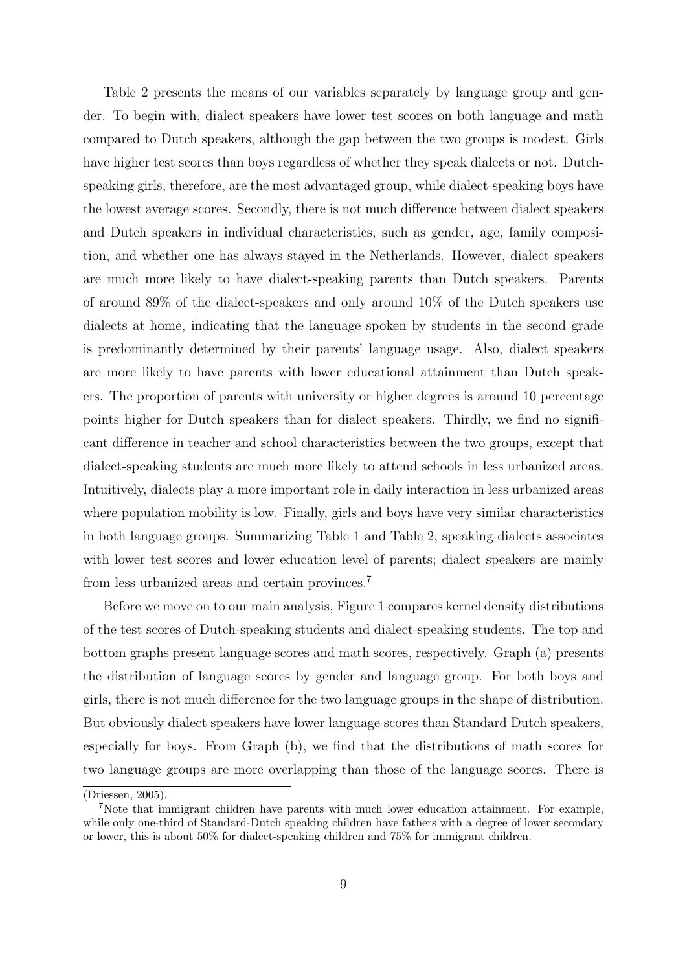Table 2 presents the means of our variables separately by language group and gender. To begin with, dialect speakers have lower test scores on both language and math compared to Dutch speakers, although the gap between the two groups is modest. Girls have higher test scores than boys regardless of whether they speak dialects or not. Dutchspeaking girls, therefore, are the most advantaged group, while dialect-speaking boys have the lowest average scores. Secondly, there is not much difference between dialect speakers and Dutch speakers in individual characteristics, such as gender, age, family composition, and whether one has always stayed in the Netherlands. However, dialect speakers are much more likely to have dialect-speaking parents than Dutch speakers. Parents of around 89% of the dialect-speakers and only around 10% of the Dutch speakers use dialects at home, indicating that the language spoken by students in the second grade is predominantly determined by their parents' language usage. Also, dialect speakers are more likely to have parents with lower educational attainment than Dutch speakers. The proportion of parents with university or higher degrees is around 10 percentage points higher for Dutch speakers than for dialect speakers. Thirdly, we find no significant difference in teacher and school characteristics between the two groups, except that dialect-speaking students are much more likely to attend schools in less urbanized areas. Intuitively, dialects play a more important role in daily interaction in less urbanized areas where population mobility is low. Finally, girls and boys have very similar characteristics in both language groups. Summarizing Table 1 and Table 2, speaking dialects associates with lower test scores and lower education level of parents; dialect speakers are mainly from less urbanized areas and certain provinces.<sup>7</sup>

Before we move on to our main analysis, Figure 1 compares kernel density distributions of the test scores of Dutch-speaking students and dialect-speaking students. The top and bottom graphs present language scores and math scores, respectively. Graph (a) presents the distribution of language scores by gender and language group. For both boys and girls, there is not much difference for the two language groups in the shape of distribution. But obviously dialect speakers have lower language scores than Standard Dutch speakers, especially for boys. From Graph (b), we find that the distributions of math scores for two language groups are more overlapping than those of the language scores. There is

<sup>(</sup>Driessen, 2005).

<sup>7</sup>Note that immigrant children have parents with much lower education attainment. For example, while only one-third of Standard-Dutch speaking children have fathers with a degree of lower secondary or lower, this is about 50% for dialect-speaking children and 75% for immigrant children.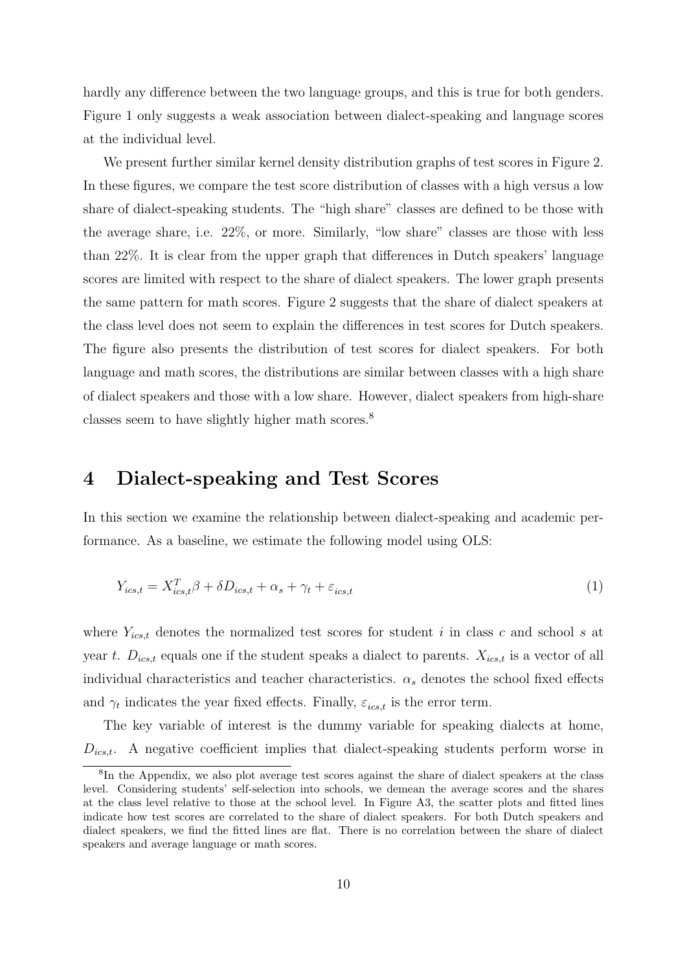hardly any difference between the two language groups, and this is true for both genders. Figure 1 only suggests a weak association between dialect-speaking and language scores at the individual level.

We present further similar kernel density distribution graphs of test scores in Figure 2. In these figures, we compare the test score distribution of classes with a high versus a low share of dialect-speaking students. The "high share" classes are defined to be those with the average share, i.e. 22%, or more. Similarly, "low share" classes are those with less than 22%. It is clear from the upper graph that differences in Dutch speakers' language scores are limited with respect to the share of dialect speakers. The lower graph presents the same pattern for math scores. Figure 2 suggests that the share of dialect speakers at the class level does not seem to explain the differences in test scores for Dutch speakers. The figure also presents the distribution of test scores for dialect speakers. For both language and math scores, the distributions are similar between classes with a high share of dialect speakers and those with a low share. However, dialect speakers from high-share classes seem to have slightly higher math scores.<sup>8</sup>

### 4 Dialect-speaking and Test Scores

In this section we examine the relationship between dialect-speaking and academic performance. As a baseline, we estimate the following model using OLS:

$$
Y_{ics,t} = X_{ics,t}^T \beta + \delta D_{ics,t} + \alpha_s + \gamma_t + \varepsilon_{ics,t}
$$
\n<sup>(1)</sup>

where  $Y_{ics,t}$  denotes the normalized test scores for student i in class c and school s at year t.  $D_{ics,t}$  equals one if the student speaks a dialect to parents.  $X_{ics,t}$  is a vector of all individual characteristics and teacher characteristics.  $\alpha_s$  denotes the school fixed effects and  $\gamma_t$  indicates the year fixed effects. Finally,  $\varepsilon_{ics,t}$  is the error term.

The key variable of interest is the dummy variable for speaking dialects at home,  $D_{ics,t}$ . A negative coefficient implies that dialect-speaking students perform worse in

<sup>&</sup>lt;sup>8</sup>In the Appendix, we also plot average test scores against the share of dialect speakers at the class level. Considering students' self-selection into schools, we demean the average scores and the shares at the class level relative to those at the school level. In Figure A3, the scatter plots and fitted lines indicate how test scores are correlated to the share of dialect speakers. For both Dutch speakers and dialect speakers, we find the fitted lines are flat. There is no correlation between the share of dialect speakers and average language or math scores.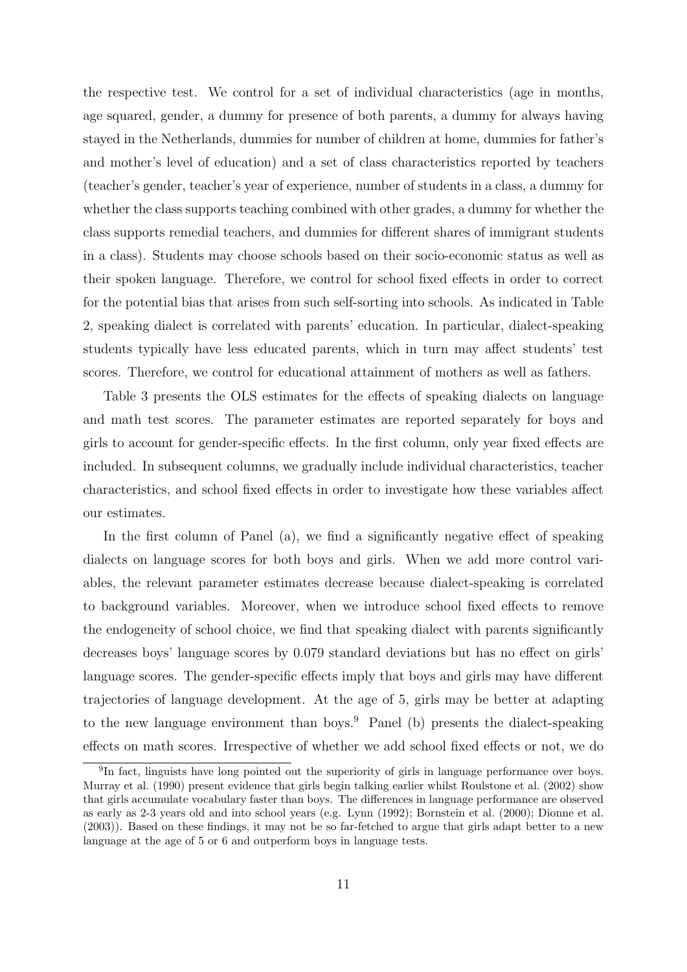the respective test. We control for a set of individual characteristics (age in months, age squared, gender, a dummy for presence of both parents, a dummy for always having stayed in the Netherlands, dummies for number of children at home, dummies for father's and mother's level of education) and a set of class characteristics reported by teachers (teacher's gender, teacher's year of experience, number of students in a class, a dummy for whether the class supports teaching combined with other grades, a dummy for whether the class supports remedial teachers, and dummies for different shares of immigrant students in a class). Students may choose schools based on their socio-economic status as well as their spoken language. Therefore, we control for school fixed effects in order to correct for the potential bias that arises from such self-sorting into schools. As indicated in Table 2, speaking dialect is correlated with parents' education. In particular, dialect-speaking students typically have less educated parents, which in turn may affect students' test scores. Therefore, we control for educational attainment of mothers as well as fathers.

Table 3 presents the OLS estimates for the effects of speaking dialects on language and math test scores. The parameter estimates are reported separately for boys and girls to account for gender-specific effects. In the first column, only year fixed effects are included. In subsequent columns, we gradually include individual characteristics, teacher characteristics, and school fixed effects in order to investigate how these variables affect our estimates.

In the first column of Panel (a), we find a significantly negative effect of speaking dialects on language scores for both boys and girls. When we add more control variables, the relevant parameter estimates decrease because dialect-speaking is correlated to background variables. Moreover, when we introduce school fixed effects to remove the endogeneity of school choice, we find that speaking dialect with parents significantly decreases boys' language scores by 0.079 standard deviations but has no effect on girls' language scores. The gender-specific effects imply that boys and girls may have different trajectories of language development. At the age of 5, girls may be better at adapting to the new language environment than boys.<sup>9</sup> Panel (b) presents the dialect-speaking effects on math scores. Irrespective of whether we add school fixed effects or not, we do

<sup>&</sup>lt;sup>9</sup>In fact, linguists have long pointed out the superiority of girls in language performance over boys. Murray et al. (1990) present evidence that girls begin talking earlier whilst Roulstone et al. (2002) show that girls accumulate vocabulary faster than boys. The differences in language performance are observed as early as 2-3 years old and into school years (e.g. Lynn (1992); Bornstein et al. (2000); Dionne et al. (2003)). Based on these findings, it may not be so far-fetched to argue that girls adapt better to a new language at the age of 5 or 6 and outperform boys in language tests.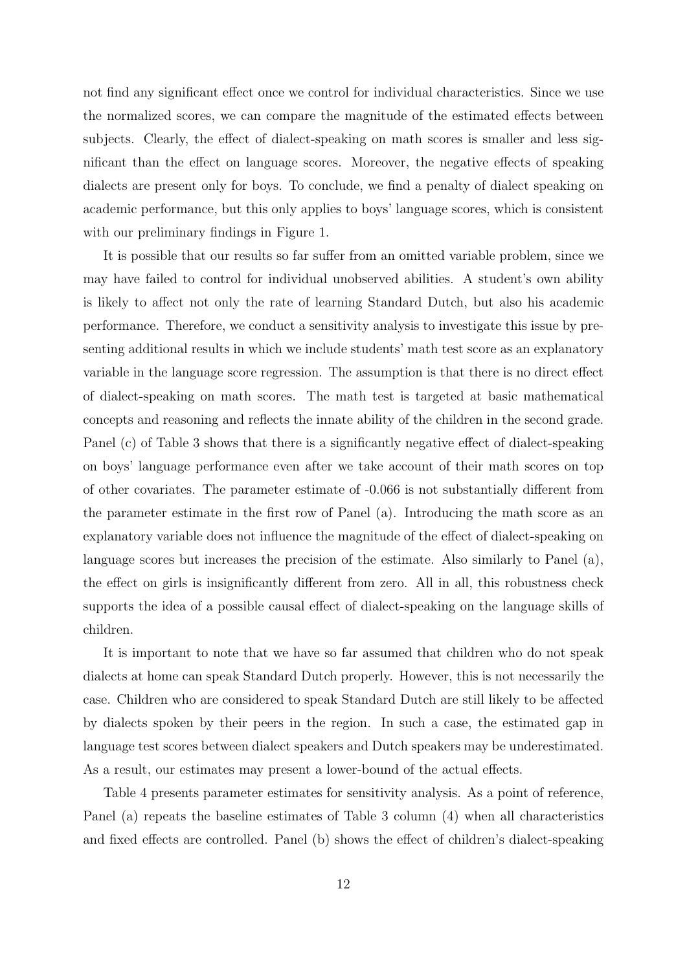not find any significant effect once we control for individual characteristics. Since we use the normalized scores, we can compare the magnitude of the estimated effects between subjects. Clearly, the effect of dialect-speaking on math scores is smaller and less significant than the effect on language scores. Moreover, the negative effects of speaking dialects are present only for boys. To conclude, we find a penalty of dialect speaking on academic performance, but this only applies to boys' language scores, which is consistent with our preliminary findings in Figure 1.

It is possible that our results so far suffer from an omitted variable problem, since we may have failed to control for individual unobserved abilities. A student's own ability is likely to affect not only the rate of learning Standard Dutch, but also his academic performance. Therefore, we conduct a sensitivity analysis to investigate this issue by presenting additional results in which we include students' math test score as an explanatory variable in the language score regression. The assumption is that there is no direct effect of dialect-speaking on math scores. The math test is targeted at basic mathematical concepts and reasoning and reflects the innate ability of the children in the second grade. Panel (c) of Table 3 shows that there is a significantly negative effect of dialect-speaking on boys' language performance even after we take account of their math scores on top of other covariates. The parameter estimate of -0.066 is not substantially different from the parameter estimate in the first row of Panel (a). Introducing the math score as an explanatory variable does not influence the magnitude of the effect of dialect-speaking on language scores but increases the precision of the estimate. Also similarly to Panel (a), the effect on girls is insignificantly different from zero. All in all, this robustness check supports the idea of a possible causal effect of dialect-speaking on the language skills of children.

It is important to note that we have so far assumed that children who do not speak dialects at home can speak Standard Dutch properly. However, this is not necessarily the case. Children who are considered to speak Standard Dutch are still likely to be affected by dialects spoken by their peers in the region. In such a case, the estimated gap in language test scores between dialect speakers and Dutch speakers may be underestimated. As a result, our estimates may present a lower-bound of the actual effects.

Table 4 presents parameter estimates for sensitivity analysis. As a point of reference, Panel (a) repeats the baseline estimates of Table 3 column (4) when all characteristics and fixed effects are controlled. Panel (b) shows the effect of children's dialect-speaking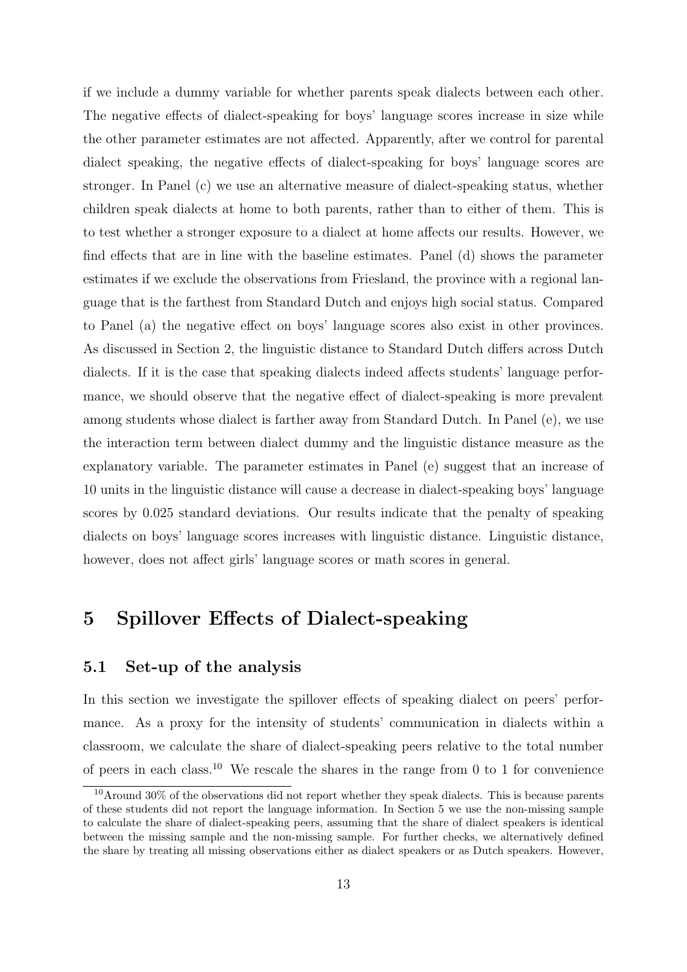if we include a dummy variable for whether parents speak dialects between each other. The negative effects of dialect-speaking for boys' language scores increase in size while the other parameter estimates are not affected. Apparently, after we control for parental dialect speaking, the negative effects of dialect-speaking for boys' language scores are stronger. In Panel (c) we use an alternative measure of dialect-speaking status, whether children speak dialects at home to both parents, rather than to either of them. This is to test whether a stronger exposure to a dialect at home affects our results. However, we find effects that are in line with the baseline estimates. Panel (d) shows the parameter estimates if we exclude the observations from Friesland, the province with a regional language that is the farthest from Standard Dutch and enjoys high social status. Compared to Panel (a) the negative effect on boys' language scores also exist in other provinces. As discussed in Section 2, the linguistic distance to Standard Dutch differs across Dutch dialects. If it is the case that speaking dialects indeed affects students' language performance, we should observe that the negative effect of dialect-speaking is more prevalent among students whose dialect is farther away from Standard Dutch. In Panel (e), we use the interaction term between dialect dummy and the linguistic distance measure as the explanatory variable. The parameter estimates in Panel (e) suggest that an increase of 10 units in the linguistic distance will cause a decrease in dialect-speaking boys' language scores by 0.025 standard deviations. Our results indicate that the penalty of speaking dialects on boys' language scores increases with linguistic distance. Linguistic distance, however, does not affect girls' language scores or math scores in general.

# 5 Spillover Effects of Dialect-speaking

#### 5.1 Set-up of the analysis

In this section we investigate the spillover effects of speaking dialect on peers' performance. As a proxy for the intensity of students' communication in dialects within a classroom, we calculate the share of dialect-speaking peers relative to the total number of peers in each class.<sup>10</sup> We rescale the shares in the range from 0 to 1 for convenience

 $10$ Around 30% of the observations did not report whether they speak dialects. This is because parents of these students did not report the language information. In Section 5 we use the non-missing sample to calculate the share of dialect-speaking peers, assuming that the share of dialect speakers is identical between the missing sample and the non-missing sample. For further checks, we alternatively defined the share by treating all missing observations either as dialect speakers or as Dutch speakers. However,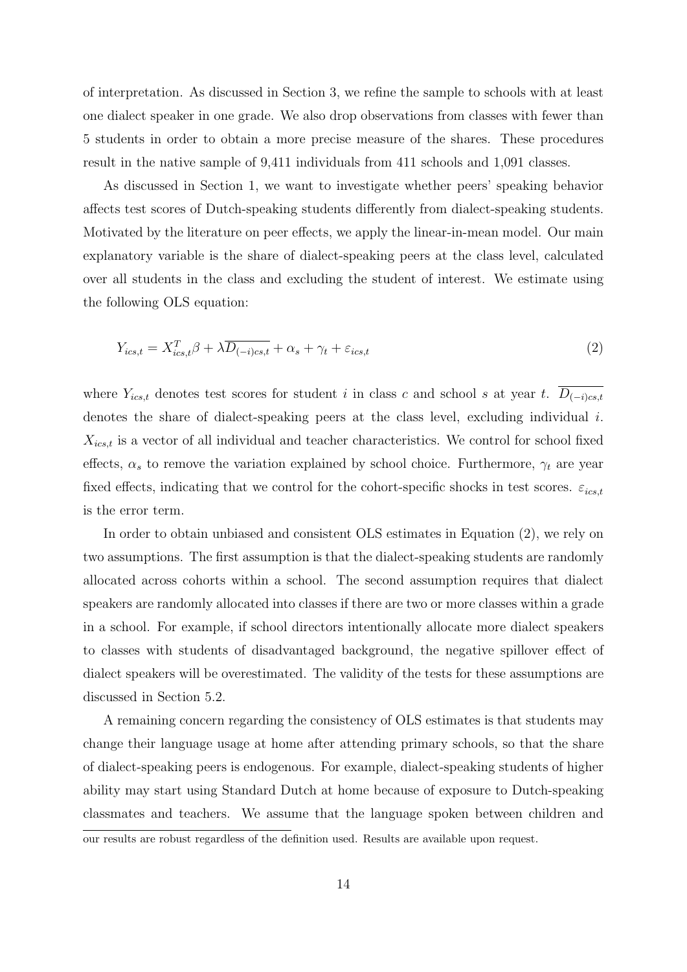of interpretation. As discussed in Section 3, we refine the sample to schools with at least one dialect speaker in one grade. We also drop observations from classes with fewer than 5 students in order to obtain a more precise measure of the shares. These procedures result in the native sample of 9,411 individuals from 411 schools and 1,091 classes.

As discussed in Section 1, we want to investigate whether peers' speaking behavior affects test scores of Dutch-speaking students differently from dialect-speaking students. Motivated by the literature on peer effects, we apply the linear-in-mean model. Our main explanatory variable is the share of dialect-speaking peers at the class level, calculated over all students in the class and excluding the student of interest. We estimate using the following OLS equation:

$$
Y_{ics,t} = X_{ics,t}^T \beta + \lambda \overline{D_{(-i)cs,t}} + \alpha_s + \gamma_t + \varepsilon_{ics,t}
$$
\n<sup>(2)</sup>

where  $Y_{ics,t}$  denotes test scores for student i in class c and school s at year t.  $\overline{D_{(-i)c s,t}}$ denotes the share of dialect-speaking peers at the class level, excluding individual i.  $X_{ics,t}$  is a vector of all individual and teacher characteristics. We control for school fixed effects,  $\alpha_s$  to remove the variation explained by school choice. Furthermore,  $\gamma_t$  are year fixed effects, indicating that we control for the cohort-specific shocks in test scores.  $\varepsilon_{ics,t}$ is the error term.

In order to obtain unbiased and consistent OLS estimates in Equation (2), we rely on two assumptions. The first assumption is that the dialect-speaking students are randomly allocated across cohorts within a school. The second assumption requires that dialect speakers are randomly allocated into classes if there are two or more classes within a grade in a school. For example, if school directors intentionally allocate more dialect speakers to classes with students of disadvantaged background, the negative spillover effect of dialect speakers will be overestimated. The validity of the tests for these assumptions are discussed in Section 5.2.

A remaining concern regarding the consistency of OLS estimates is that students may change their language usage at home after attending primary schools, so that the share of dialect-speaking peers is endogenous. For example, dialect-speaking students of higher ability may start using Standard Dutch at home because of exposure to Dutch-speaking classmates and teachers. We assume that the language spoken between children and

our results are robust regardless of the definition used. Results are available upon request.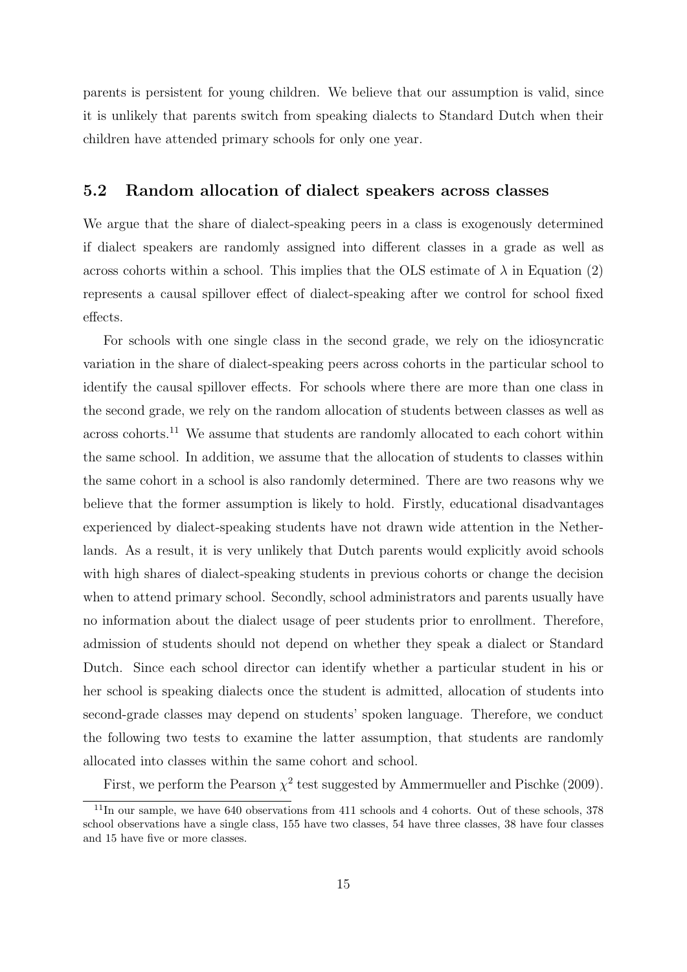parents is persistent for young children. We believe that our assumption is valid, since it is unlikely that parents switch from speaking dialects to Standard Dutch when their children have attended primary schools for only one year.

#### 5.2 Random allocation of dialect speakers across classes

We argue that the share of dialect-speaking peers in a class is exogenously determined if dialect speakers are randomly assigned into different classes in a grade as well as across cohorts within a school. This implies that the OLS estimate of  $\lambda$  in Equation (2) represents a causal spillover effect of dialect-speaking after we control for school fixed effects.

For schools with one single class in the second grade, we rely on the idiosyncratic variation in the share of dialect-speaking peers across cohorts in the particular school to identify the causal spillover effects. For schools where there are more than one class in the second grade, we rely on the random allocation of students between classes as well as across cohorts.<sup>11</sup> We assume that students are randomly allocated to each cohort within the same school. In addition, we assume that the allocation of students to classes within the same cohort in a school is also randomly determined. There are two reasons why we believe that the former assumption is likely to hold. Firstly, educational disadvantages experienced by dialect-speaking students have not drawn wide attention in the Netherlands. As a result, it is very unlikely that Dutch parents would explicitly avoid schools with high shares of dialect-speaking students in previous cohorts or change the decision when to attend primary school. Secondly, school administrators and parents usually have no information about the dialect usage of peer students prior to enrollment. Therefore, admission of students should not depend on whether they speak a dialect or Standard Dutch. Since each school director can identify whether a particular student in his or her school is speaking dialects once the student is admitted, allocation of students into second-grade classes may depend on students' spoken language. Therefore, we conduct the following two tests to examine the latter assumption, that students are randomly allocated into classes within the same cohort and school.

First, we perform the Pearson  $\chi^2$  test suggested by Ammermueller and Pischke (2009).

 $11$ In our sample, we have 640 observations from 411 schools and 4 cohorts. Out of these schools, 378 school observations have a single class, 155 have two classes, 54 have three classes, 38 have four classes and 15 have five or more classes.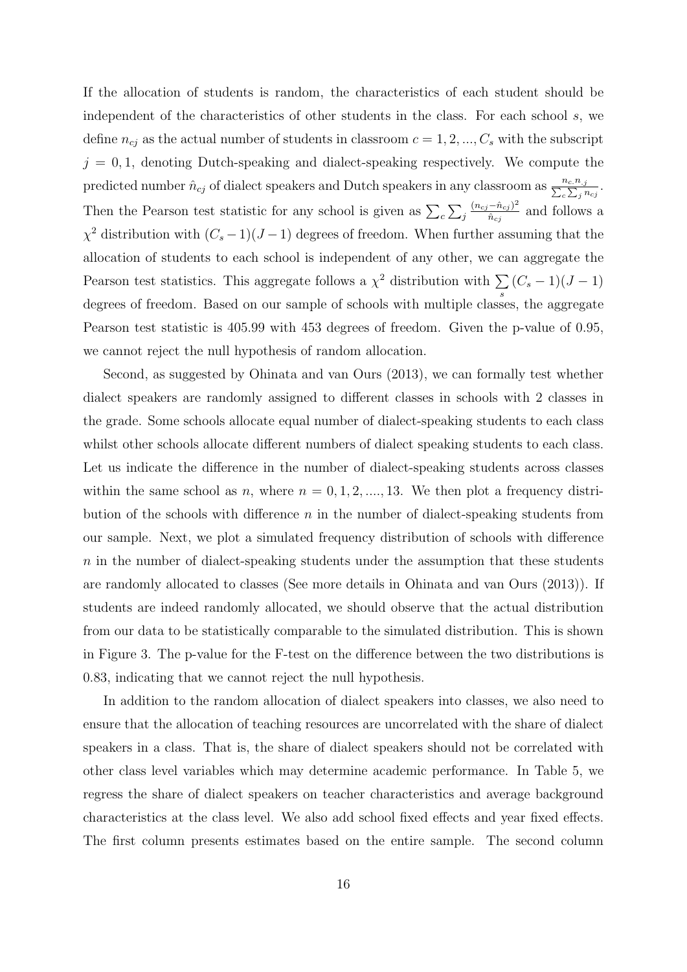If the allocation of students is random, the characteristics of each student should be independent of the characteristics of other students in the class. For each school s, we define  $n_{cj}$  as the actual number of students in classroom  $c = 1, 2, ..., C_s$  with the subscript  $j = 0, 1$ , denoting Dutch-speaking and dialect-speaking respectively. We compute the predicted number  $\hat{n}_{cj}$  of dialect speakers and Dutch speakers in any classroom as  $\frac{n_c \cdot n_{.j}}{\sum_c \sum_j n_{cj}}$ . Then the Pearson test statistic for any school is given as  $\sum_{c} \sum_{j}$  $(n_{cj}-\hat{n}_{cj})^2$  $\frac{(-n_{cj})^2}{\hat{n}_{cj}}$  and follows a  $\chi^2$  distribution with  $(C_s-1)(J-1)$  degrees of freedom. When further assuming that the allocation of students to each school is independent of any other, we can aggregate the Pearson test statistics. This aggregate follows a  $\chi^2$  distribution with  $\sum$ s  $(C_s-1)(J-1)$ degrees of freedom. Based on our sample of schools with multiple classes, the aggregate Pearson test statistic is 405.99 with 453 degrees of freedom. Given the p-value of 0.95, we cannot reject the null hypothesis of random allocation.

Second, as suggested by Ohinata and van Ours (2013), we can formally test whether dialect speakers are randomly assigned to different classes in schools with 2 classes in the grade. Some schools allocate equal number of dialect-speaking students to each class whilst other schools allocate different numbers of dialect speaking students to each class. Let us indicate the difference in the number of dialect-speaking students across classes within the same school as n, where  $n = 0, 1, 2, \ldots, 13$ . We then plot a frequency distribution of the schools with difference  $n$  in the number of dialect-speaking students from our sample. Next, we plot a simulated frequency distribution of schools with difference  $n$  in the number of dialect-speaking students under the assumption that these students are randomly allocated to classes (See more details in Ohinata and van Ours (2013)). If students are indeed randomly allocated, we should observe that the actual distribution from our data to be statistically comparable to the simulated distribution. This is shown in Figure 3. The p-value for the F-test on the difference between the two distributions is 0.83, indicating that we cannot reject the null hypothesis.

In addition to the random allocation of dialect speakers into classes, we also need to ensure that the allocation of teaching resources are uncorrelated with the share of dialect speakers in a class. That is, the share of dialect speakers should not be correlated with other class level variables which may determine academic performance. In Table 5, we regress the share of dialect speakers on teacher characteristics and average background characteristics at the class level. We also add school fixed effects and year fixed effects. The first column presents estimates based on the entire sample. The second column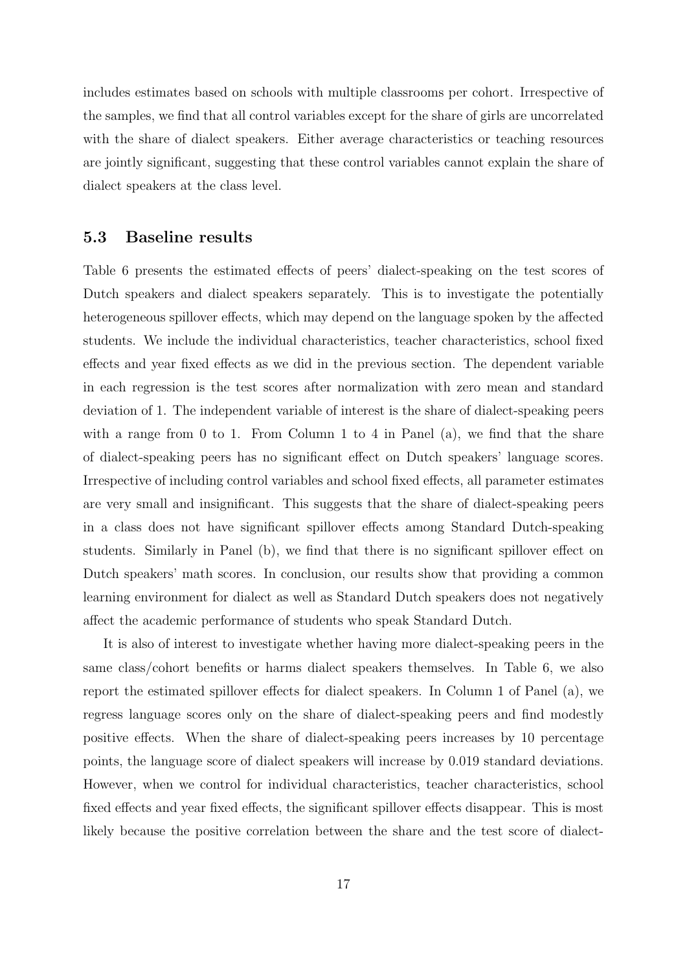includes estimates based on schools with multiple classrooms per cohort. Irrespective of the samples, we find that all control variables except for the share of girls are uncorrelated with the share of dialect speakers. Either average characteristics or teaching resources are jointly significant, suggesting that these control variables cannot explain the share of dialect speakers at the class level.

#### 5.3 Baseline results

Table 6 presents the estimated effects of peers' dialect-speaking on the test scores of Dutch speakers and dialect speakers separately. This is to investigate the potentially heterogeneous spillover effects, which may depend on the language spoken by the affected students. We include the individual characteristics, teacher characteristics, school fixed effects and year fixed effects as we did in the previous section. The dependent variable in each regression is the test scores after normalization with zero mean and standard deviation of 1. The independent variable of interest is the share of dialect-speaking peers with a range from 0 to 1. From Column 1 to 4 in Panel (a), we find that the share of dialect-speaking peers has no significant effect on Dutch speakers' language scores. Irrespective of including control variables and school fixed effects, all parameter estimates are very small and insignificant. This suggests that the share of dialect-speaking peers in a class does not have significant spillover effects among Standard Dutch-speaking students. Similarly in Panel (b), we find that there is no significant spillover effect on Dutch speakers' math scores. In conclusion, our results show that providing a common learning environment for dialect as well as Standard Dutch speakers does not negatively affect the academic performance of students who speak Standard Dutch.

It is also of interest to investigate whether having more dialect-speaking peers in the same class/cohort benefits or harms dialect speakers themselves. In Table 6, we also report the estimated spillover effects for dialect speakers. In Column 1 of Panel (a), we regress language scores only on the share of dialect-speaking peers and find modestly positive effects. When the share of dialect-speaking peers increases by 10 percentage points, the language score of dialect speakers will increase by 0.019 standard deviations. However, when we control for individual characteristics, teacher characteristics, school fixed effects and year fixed effects, the significant spillover effects disappear. This is most likely because the positive correlation between the share and the test score of dialect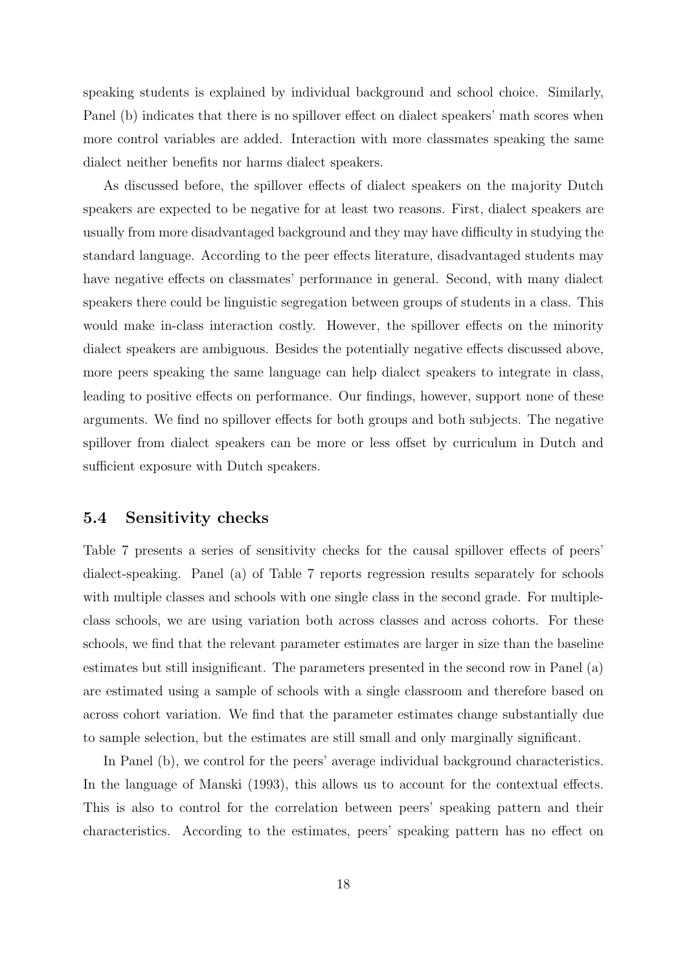speaking students is explained by individual background and school choice. Similarly, Panel (b) indicates that there is no spillover effect on dialect speakers' math scores when more control variables are added. Interaction with more classmates speaking the same dialect neither benefits nor harms dialect speakers.

As discussed before, the spillover effects of dialect speakers on the majority Dutch speakers are expected to be negative for at least two reasons. First, dialect speakers are usually from more disadvantaged background and they may have difficulty in studying the standard language. According to the peer effects literature, disadvantaged students may have negative effects on classmates' performance in general. Second, with many dialect speakers there could be linguistic segregation between groups of students in a class. This would make in-class interaction costly. However, the spillover effects on the minority dialect speakers are ambiguous. Besides the potentially negative effects discussed above, more peers speaking the same language can help dialect speakers to integrate in class, leading to positive effects on performance. Our findings, however, support none of these arguments. We find no spillover effects for both groups and both subjects. The negative spillover from dialect speakers can be more or less offset by curriculum in Dutch and sufficient exposure with Dutch speakers.

#### 5.4 Sensitivity checks

Table 7 presents a series of sensitivity checks for the causal spillover effects of peers' dialect-speaking. Panel (a) of Table 7 reports regression results separately for schools with multiple classes and schools with one single class in the second grade. For multipleclass schools, we are using variation both across classes and across cohorts. For these schools, we find that the relevant parameter estimates are larger in size than the baseline estimates but still insignificant. The parameters presented in the second row in Panel (a) are estimated using a sample of schools with a single classroom and therefore based on across cohort variation. We find that the parameter estimates change substantially due to sample selection, but the estimates are still small and only marginally significant.

In Panel (b), we control for the peers' average individual background characteristics. In the language of Manski (1993), this allows us to account for the contextual effects. This is also to control for the correlation between peers' speaking pattern and their characteristics. According to the estimates, peers' speaking pattern has no effect on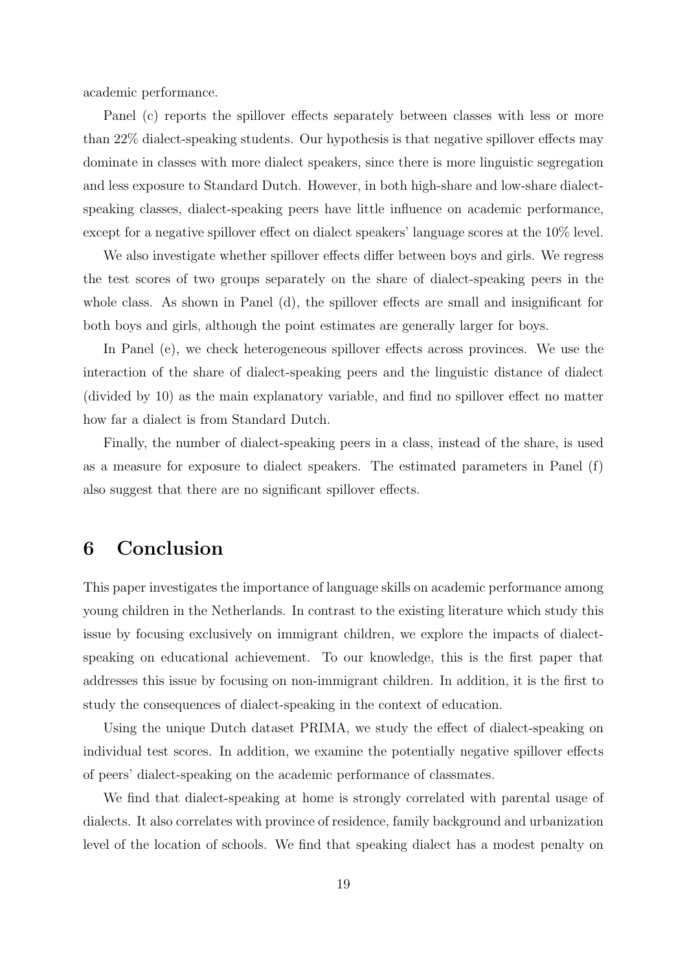academic performance.

Panel (c) reports the spillover effects separately between classes with less or more than 22% dialect-speaking students. Our hypothesis is that negative spillover effects may dominate in classes with more dialect speakers, since there is more linguistic segregation and less exposure to Standard Dutch. However, in both high-share and low-share dialectspeaking classes, dialect-speaking peers have little influence on academic performance, except for a negative spillover effect on dialect speakers' language scores at the 10% level.

We also investigate whether spillover effects differ between boys and girls. We regress the test scores of two groups separately on the share of dialect-speaking peers in the whole class. As shown in Panel (d), the spillover effects are small and insignificant for both boys and girls, although the point estimates are generally larger for boys.

In Panel (e), we check heterogeneous spillover effects across provinces. We use the interaction of the share of dialect-speaking peers and the linguistic distance of dialect (divided by 10) as the main explanatory variable, and find no spillover effect no matter how far a dialect is from Standard Dutch.

Finally, the number of dialect-speaking peers in a class, instead of the share, is used as a measure for exposure to dialect speakers. The estimated parameters in Panel (f) also suggest that there are no significant spillover effects.

# 6 Conclusion

This paper investigates the importance of language skills on academic performance among young children in the Netherlands. In contrast to the existing literature which study this issue by focusing exclusively on immigrant children, we explore the impacts of dialectspeaking on educational achievement. To our knowledge, this is the first paper that addresses this issue by focusing on non-immigrant children. In addition, it is the first to study the consequences of dialect-speaking in the context of education.

Using the unique Dutch dataset PRIMA, we study the effect of dialect-speaking on individual test scores. In addition, we examine the potentially negative spillover effects of peers' dialect-speaking on the academic performance of classmates.

We find that dialect-speaking at home is strongly correlated with parental usage of dialects. It also correlates with province of residence, family background and urbanization level of the location of schools. We find that speaking dialect has a modest penalty on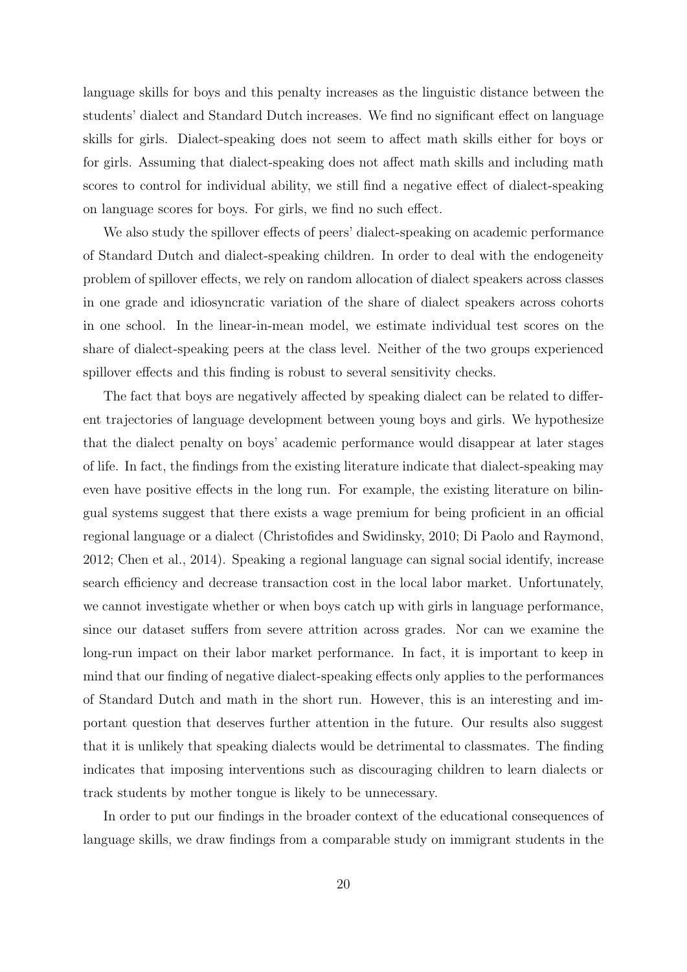language skills for boys and this penalty increases as the linguistic distance between the students' dialect and Standard Dutch increases. We find no significant effect on language skills for girls. Dialect-speaking does not seem to affect math skills either for boys or for girls. Assuming that dialect-speaking does not affect math skills and including math scores to control for individual ability, we still find a negative effect of dialect-speaking on language scores for boys. For girls, we find no such effect.

We also study the spillover effects of peers' dialect-speaking on academic performance of Standard Dutch and dialect-speaking children. In order to deal with the endogeneity problem of spillover effects, we rely on random allocation of dialect speakers across classes in one grade and idiosyncratic variation of the share of dialect speakers across cohorts in one school. In the linear-in-mean model, we estimate individual test scores on the share of dialect-speaking peers at the class level. Neither of the two groups experienced spillover effects and this finding is robust to several sensitivity checks.

The fact that boys are negatively affected by speaking dialect can be related to different trajectories of language development between young boys and girls. We hypothesize that the dialect penalty on boys' academic performance would disappear at later stages of life. In fact, the findings from the existing literature indicate that dialect-speaking may even have positive effects in the long run. For example, the existing literature on bilingual systems suggest that there exists a wage premium for being proficient in an official regional language or a dialect (Christofides and Swidinsky, 2010; Di Paolo and Raymond, 2012; Chen et al., 2014). Speaking a regional language can signal social identify, increase search efficiency and decrease transaction cost in the local labor market. Unfortunately, we cannot investigate whether or when boys catch up with girls in language performance, since our dataset suffers from severe attrition across grades. Nor can we examine the long-run impact on their labor market performance. In fact, it is important to keep in mind that our finding of negative dialect-speaking effects only applies to the performances of Standard Dutch and math in the short run. However, this is an interesting and important question that deserves further attention in the future. Our results also suggest that it is unlikely that speaking dialects would be detrimental to classmates. The finding indicates that imposing interventions such as discouraging children to learn dialects or track students by mother tongue is likely to be unnecessary.

In order to put our findings in the broader context of the educational consequences of language skills, we draw findings from a comparable study on immigrant students in the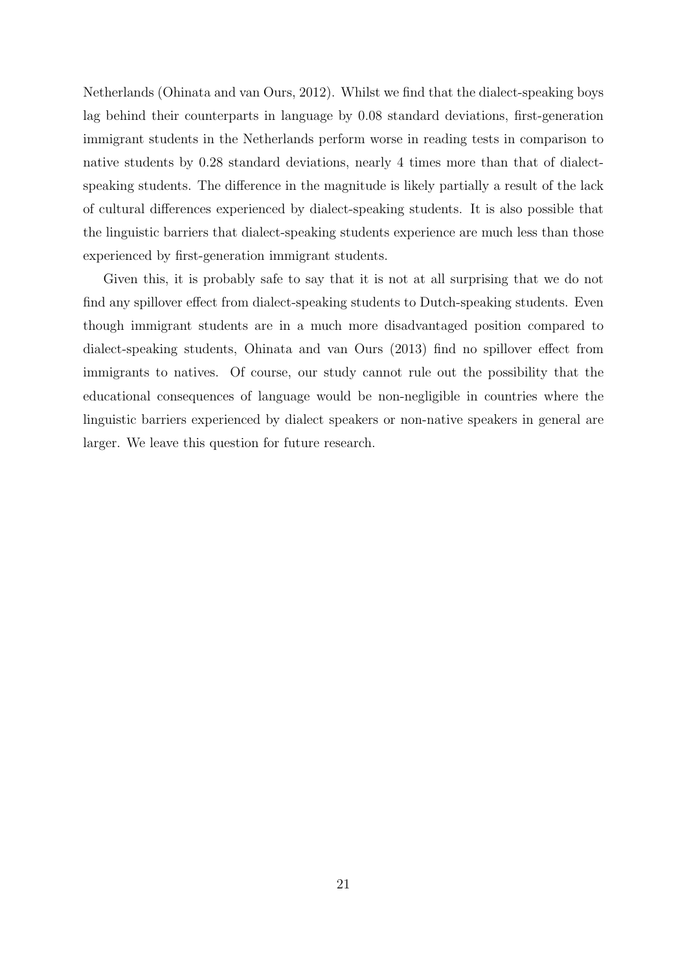Netherlands (Ohinata and van Ours, 2012). Whilst we find that the dialect-speaking boys lag behind their counterparts in language by 0.08 standard deviations, first-generation immigrant students in the Netherlands perform worse in reading tests in comparison to native students by 0.28 standard deviations, nearly 4 times more than that of dialectspeaking students. The difference in the magnitude is likely partially a result of the lack of cultural differences experienced by dialect-speaking students. It is also possible that the linguistic barriers that dialect-speaking students experience are much less than those experienced by first-generation immigrant students.

Given this, it is probably safe to say that it is not at all surprising that we do not find any spillover effect from dialect-speaking students to Dutch-speaking students. Even though immigrant students are in a much more disadvantaged position compared to dialect-speaking students, Ohinata and van Ours (2013) find no spillover effect from immigrants to natives. Of course, our study cannot rule out the possibility that the educational consequences of language would be non-negligible in countries where the linguistic barriers experienced by dialect speakers or non-native speakers in general are larger. We leave this question for future research.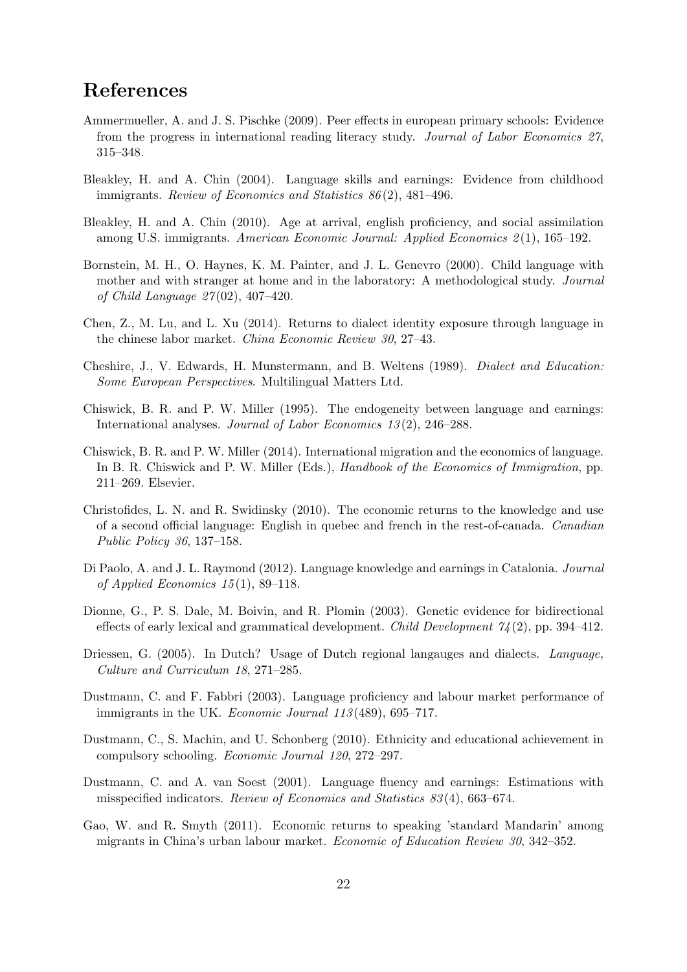# References

- Ammermueller, A. and J. S. Pischke (2009). Peer effects in european primary schools: Evidence from the progress in international reading literacy study. Journal of Labor Economics 27, 315–348.
- Bleakley, H. and A. Chin (2004). Language skills and earnings: Evidence from childhood immigrants. Review of Economics and Statistics 86(2), 481-496.
- Bleakley, H. and A. Chin (2010). Age at arrival, english proficiency, and social assimilation among U.S. immigrants. American Economic Journal: Applied Economics 2 (1), 165–192.
- Bornstein, M. H., O. Haynes, K. M. Painter, and J. L. Genevro (2000). Child language with mother and with stranger at home and in the laboratory: A methodological study. *Journal* of Child Language 27 (02), 407–420.
- Chen, Z., M. Lu, and L. Xu (2014). Returns to dialect identity exposure through language in the chinese labor market. China Economic Review 30, 27–43.
- Cheshire, J., V. Edwards, H. Munstermann, and B. Weltens (1989). Dialect and Education: Some European Perspectives. Multilingual Matters Ltd.
- Chiswick, B. R. and P. W. Miller (1995). The endogeneity between language and earnings: International analyses. Journal of Labor Economics 13 (2), 246–288.
- Chiswick, B. R. and P. W. Miller (2014). International migration and the economics of language. In B. R. Chiswick and P. W. Miller (Eds.), Handbook of the Economics of Immigration, pp. 211–269. Elsevier.
- Christofides, L. N. and R. Swidinsky (2010). The economic returns to the knowledge and use of a second official language: English in quebec and french in the rest-of-canada. Canadian Public Policy 36, 137–158.
- Di Paolo, A. and J. L. Raymond (2012). Language knowledge and earnings in Catalonia. Journal of Applied Economics  $15(1)$ , 89–118.
- Dionne, G., P. S. Dale, M. Boivin, and R. Plomin (2003). Genetic evidence for bidirectional effects of early lexical and grammatical development. Child Development 74 (2), pp. 394–412.
- Driessen, G. (2005). In Dutch? Usage of Dutch regional languages and dialects. Language, Culture and Curriculum 18, 271–285.
- Dustmann, C. and F. Fabbri (2003). Language proficiency and labour market performance of immigrants in the UK. Economic Journal 113(489), 695-717.
- Dustmann, C., S. Machin, and U. Schonberg (2010). Ethnicity and educational achievement in compulsory schooling. Economic Journal 120, 272–297.
- Dustmann, C. and A. van Soest (2001). Language fluency and earnings: Estimations with misspecified indicators. Review of Economics and Statistics 83 (4), 663–674.
- Gao, W. and R. Smyth (2011). Economic returns to speaking 'standard Mandarin' among migrants in China's urban labour market. Economic of Education Review 30, 342–352.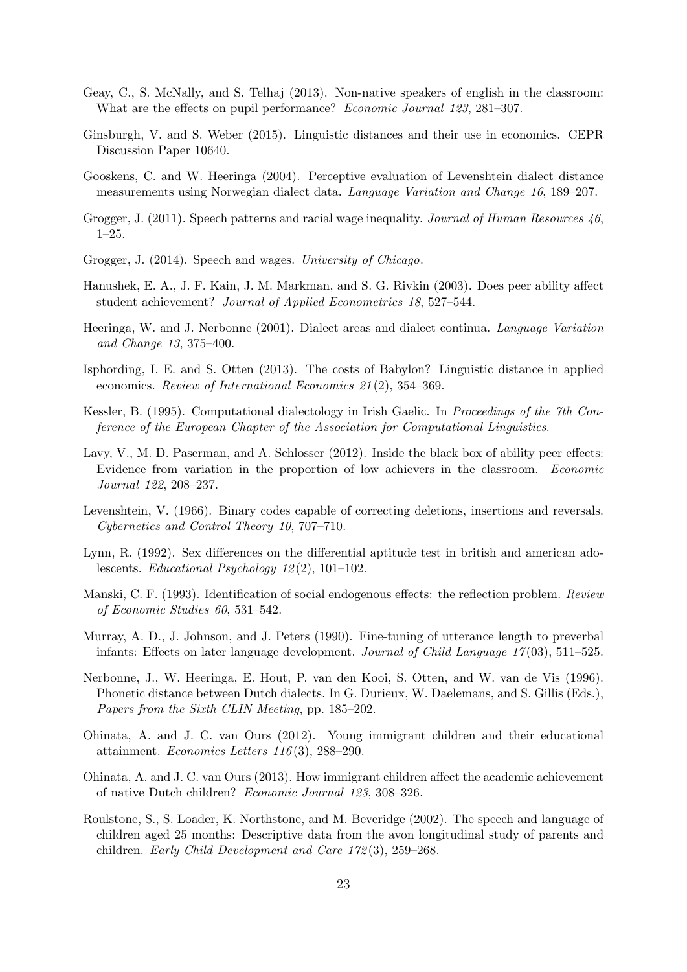- Geay, C., S. McNally, and S. Telhaj (2013). Non-native speakers of english in the classroom: What are the effects on pupil performance? Economic Journal 123, 281–307.
- Ginsburgh, V. and S. Weber (2015). Linguistic distances and their use in economics. CEPR Discussion Paper 10640.
- Gooskens, C. and W. Heeringa (2004). Perceptive evaluation of Levenshtein dialect distance measurements using Norwegian dialect data. Language Variation and Change 16, 189–207.
- Grogger, J. (2011). Speech patterns and racial wage inequality. Journal of Human Resources 46, 1–25.
- Grogger, J. (2014). Speech and wages. University of Chicago.
- Hanushek, E. A., J. F. Kain, J. M. Markman, and S. G. Rivkin (2003). Does peer ability affect student achievement? Journal of Applied Econometrics 18, 527–544.
- Heeringa, W. and J. Nerbonne (2001). Dialect areas and dialect continua. Language Variation and Change 13, 375–400.
- Isphording, I. E. and S. Otten (2013). The costs of Babylon? Linguistic distance in applied economics. Review of International Economics 21 (2), 354–369.
- Kessler, B. (1995). Computational dialectology in Irish Gaelic. In Proceedings of the 7th Conference of the European Chapter of the Association for Computational Linguistics.
- Lavy, V., M. D. Paserman, and A. Schlosser (2012). Inside the black box of ability peer effects: Evidence from variation in the proportion of low achievers in the classroom. Economic Journal 122, 208–237.
- Levenshtein, V. (1966). Binary codes capable of correcting deletions, insertions and reversals. Cybernetics and Control Theory 10, 707–710.
- Lynn, R. (1992). Sex differences on the differential aptitude test in british and american adolescents. Educational Psychology  $12(2)$ , 101–102.
- Manski, C. F. (1993). Identification of social endogenous effects: the reflection problem. Review of Economic Studies 60, 531–542.
- Murray, A. D., J. Johnson, and J. Peters (1990). Fine-tuning of utterance length to preverbal infants: Effects on later language development. Journal of Child Language  $17(03)$ , 511–525.
- Nerbonne, J., W. Heeringa, E. Hout, P. van den Kooi, S. Otten, and W. van de Vis (1996). Phonetic distance between Dutch dialects. In G. Durieux, W. Daelemans, and S. Gillis (Eds.), Papers from the Sixth CLIN Meeting, pp. 185–202.
- Ohinata, A. and J. C. van Ours (2012). Young immigrant children and their educational attainment. Economics Letters 116 (3), 288–290.
- Ohinata, A. and J. C. van Ours (2013). How immigrant children affect the academic achievement of native Dutch children? Economic Journal 123, 308–326.
- Roulstone, S., S. Loader, K. Northstone, and M. Beveridge (2002). The speech and language of children aged 25 months: Descriptive data from the avon longitudinal study of parents and children. Early Child Development and Care 172 (3), 259–268.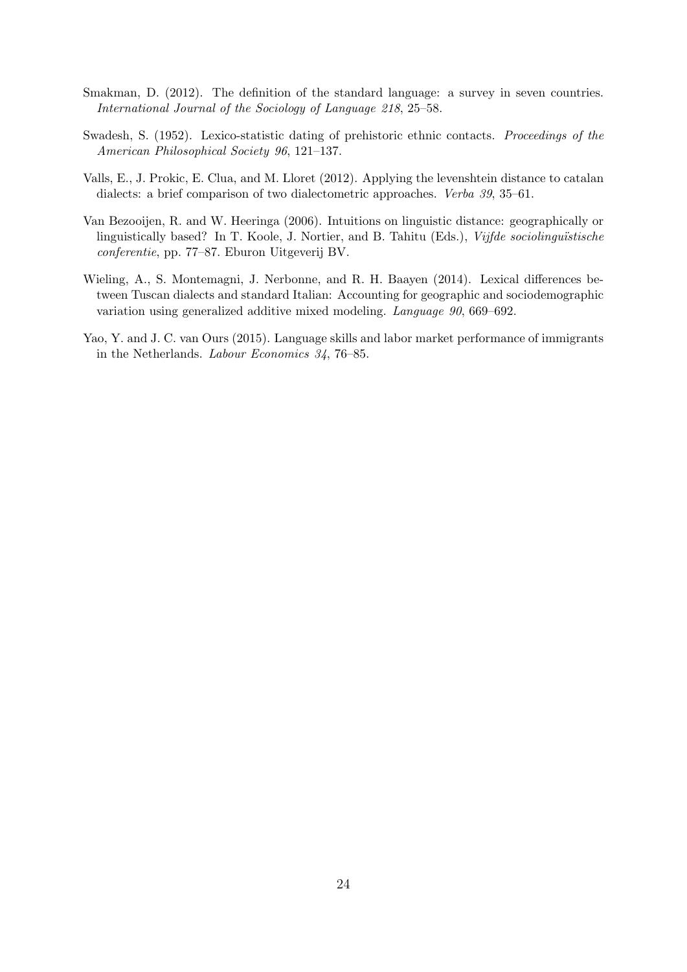- Smakman, D. (2012). The definition of the standard language: a survey in seven countries. International Journal of the Sociology of Language 218, 25–58.
- Swadesh, S. (1952). Lexico-statistic dating of prehistoric ethnic contacts. *Proceedings of the* American Philosophical Society 96, 121–137.
- Valls, E., J. Prokic, E. Clua, and M. Lloret (2012). Applying the levenshtein distance to catalan dialects: a brief comparison of two dialectometric approaches. Verba 39, 35–61.
- Van Bezooijen, R. and W. Heeringa (2006). Intuitions on linguistic distance: geographically or linguistically based? In T. Koole, J. Nortier, and B. Tahitu (Eds.), Vijfde sociolinguistische conferentie, pp. 77–87. Eburon Uitgeverij BV.
- Wieling, A., S. Montemagni, J. Nerbonne, and R. H. Baayen (2014). Lexical differences between Tuscan dialects and standard Italian: Accounting for geographic and sociodemographic variation using generalized additive mixed modeling. Language 90, 669–692.
- Yao, Y. and J. C. van Ours (2015). Language skills and labor market performance of immigrants in the Netherlands. Labour Economics 34, 76–85.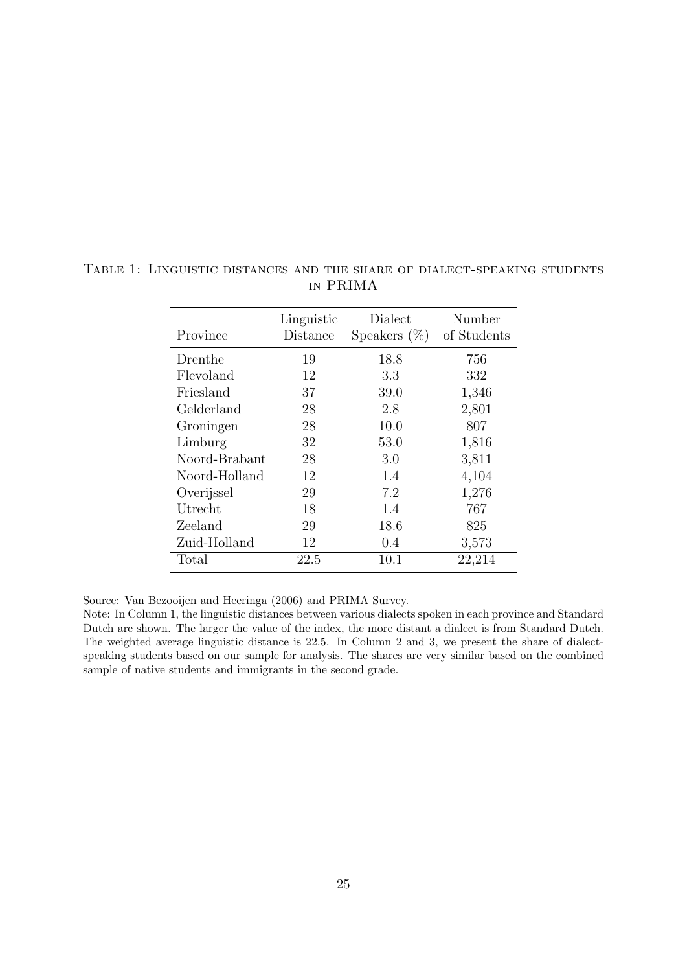| Province      | Linguistic<br>Distance | Dialect<br>Speakers $(\%)$ | Number<br>of Students |
|---------------|------------------------|----------------------------|-----------------------|
| Drenthe       | 19                     | 18.8                       | 756                   |
| Flevoland     | 12                     | 3.3                        | 332                   |
| Friesland     | 37                     | 39.0                       | 1,346                 |
| Gelderland    | 28                     | 2.8                        | 2,801                 |
| Groningen     | 28                     | 10.0                       | 807                   |
| Limburg       | 32                     | 53.0                       | 1,816                 |
| Noord-Brabant | 28                     | 3.0                        | 3,811                 |
| Noord-Holland | 12                     | 1.4                        | 4,104                 |
| Overijssel    | 29                     | 7.2                        | 1,276                 |
| Utrecht       | 18                     | 1.4                        | 767                   |
| Zeeland       | 29                     | 18.6                       | 825                   |
| Zuid-Holland  | 12                     | 0.4                        | 3,573                 |
| Total         | 22.5                   | 10.1                       | 22,214                |

Table 1: Linguistic distances and the share of dialect-speaking students in PRIMA

Source: Van Bezooijen and Heeringa (2006) and PRIMA Survey.

Note: In Column 1, the linguistic distances between various dialects spoken in each province and Standard Dutch are shown. The larger the value of the index, the more distant a dialect is from Standard Dutch. The weighted average linguistic distance is 22.5. In Column 2 and 3, we present the share of dialectspeaking students based on our sample for analysis. The shares are very similar based on the combined sample of native students and immigrants in the second grade.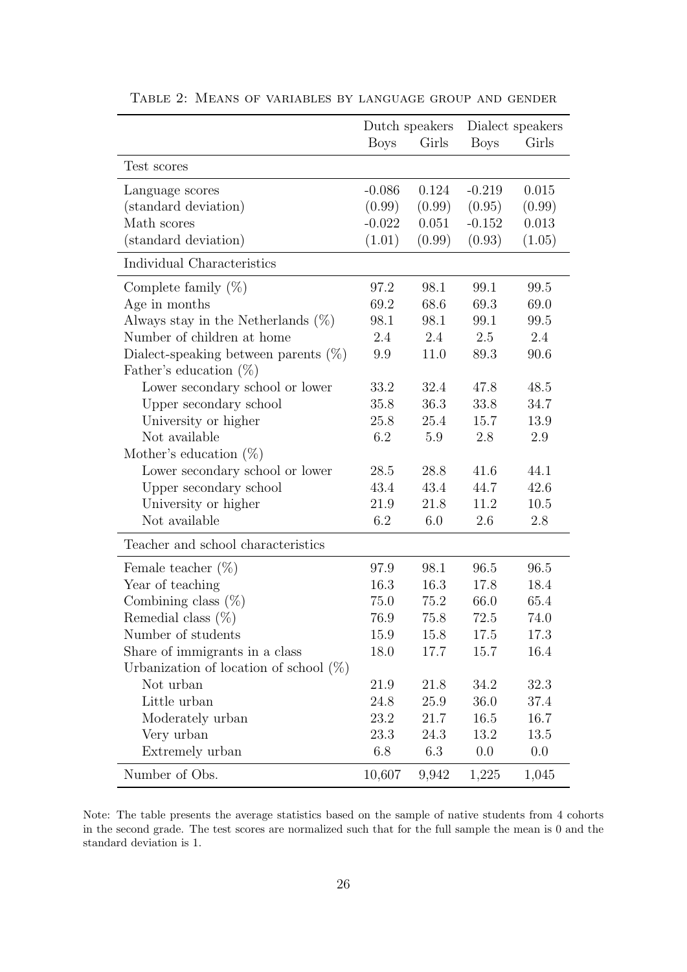|                                           | Dutch speakers |        |             | Dialect speakers |
|-------------------------------------------|----------------|--------|-------------|------------------|
|                                           | <b>Boys</b>    | Girls  | <b>Boys</b> | Girls            |
| Test scores                               |                |        |             |                  |
| Language scores                           | $-0.086$       | 0.124  | $-0.219$    | 0.015            |
| (standard deviation)                      | (0.99)         | (0.99) | (0.95)      | (0.99)           |
| Math scores                               | $-0.022$       | 0.051  | $-0.152$    | 0.013            |
| (standard deviation)                      | (1.01)         | (0.99) | (0.93)      | (1.05)           |
| Individual Characteristics                |                |        |             |                  |
| Complete family $(\%)$                    | 97.2           | 98.1   | 99.1        | 99.5             |
| Age in months                             | 69.2           | 68.6   | 69.3        | 69.0             |
| Always stay in the Netherlands $(\%)$     | 98.1           | 98.1   | 99.1        | 99.5             |
| Number of children at home                | 2.4            | 2.4    | 2.5         | 2.4              |
| Dialect-speaking between parents $(\%)$   | 9.9            | 11.0   | 89.3        | 90.6             |
| Father's education $(\%)$                 |                |        |             |                  |
| Lower secondary school or lower           | 33.2           | 32.4   | 47.8        | 48.5             |
| Upper secondary school                    | 35.8           | 36.3   | 33.8        | 34.7             |
| University or higher                      | 25.8           | 25.4   | 15.7        | 13.9             |
| Not available                             | 6.2            | 5.9    | 2.8         | 2.9              |
| Mother's education $(\%)$                 |                |        |             |                  |
| Lower secondary school or lower           | 28.5           | 28.8   | 41.6        | 44.1             |
| Upper secondary school                    | 43.4           | 43.4   | 44.7        | 42.6             |
| University or higher                      | 21.9           | 21.8   | 11.2        | 10.5             |
| Not available                             | 6.2            | 6.0    | 2.6         | 2.8              |
| Teacher and school characteristics        |                |        |             |                  |
| Female teacher $(\%)$                     | 97.9           | 98.1   | 96.5        | 96.5             |
| Year of teaching                          | 16.3           | 16.3   | 17.8        | 18.4             |
| Combining class $(\%)$                    | 75.0           | 75.2   | 66.0        | 65.4             |
| Remedial class $(\%)$                     | 76.9           | 75.8   | 72.5        | 74.0             |
| Number of students                        | 15.9           | 15.8   | 17.5        | 17.3             |
| Share of immigrants in a class            | 18.0           | 17.7   | 15.7        | 16.4             |
| Urbanization of location of school $(\%)$ |                |        |             |                  |
| Not urban                                 | 21.9           | 21.8   | 34.2        | 32.3             |
| Little urban                              | 24.8           | 25.9   | 36.0        | $37.4\,$         |
| Moderately urban                          | 23.2           | 21.7   | 16.5        | 16.7             |
| Very urban                                | 23.3           | 24.3   | 13.2        | 13.5             |
| Extremely urban                           | 6.8            | 6.3    | 0.0         | 0.0              |
| Number of Obs.                            | 10,607         | 9,942  | 1,225       | 1,045            |

Table 2: Means of variables by language group and gender

Note: The table presents the average statistics based on the sample of native students from 4 cohorts in the second grade. The test scores are normalized such that for the full sample the mean is 0 and the standard deviation is 1.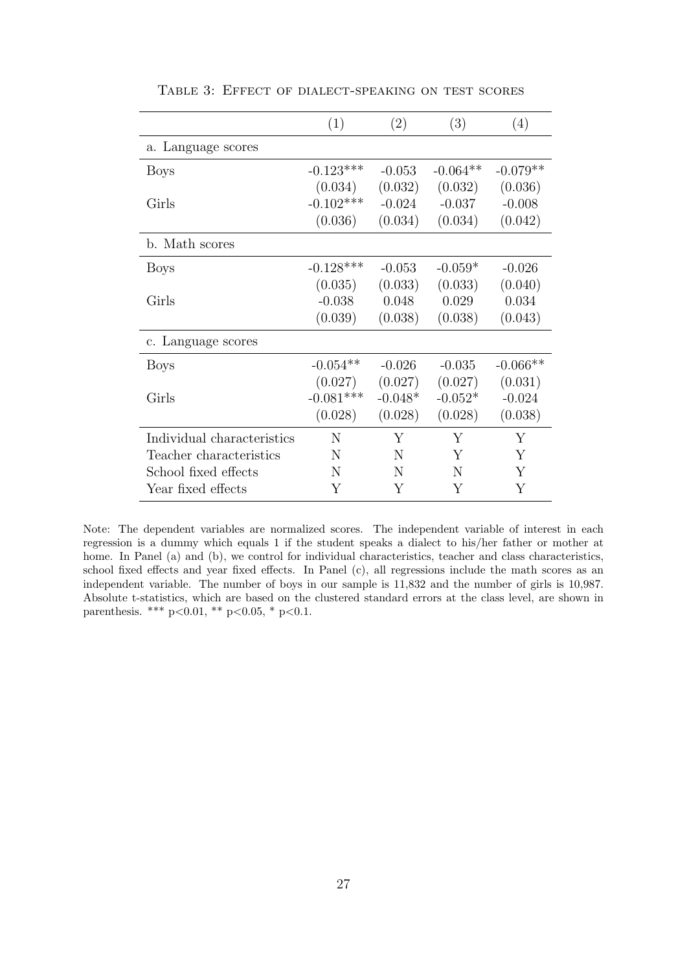|                            | (1)         | (2)       | (3)        | (4)        |
|----------------------------|-------------|-----------|------------|------------|
| a. Language scores         |             |           |            |            |
| Boys                       | $-0.123***$ | $-0.053$  | $-0.064**$ | $-0.079**$ |
|                            | (0.034)     | (0.032)   | (0.032)    | (0.036)    |
| Girls                      | $-0.102***$ | $-0.024$  | $-0.037$   | $-0.008$   |
|                            | (0.036)     | (0.034)   | (0.034)    | (0.042)    |
| b. Math scores             |             |           |            |            |
| <b>Boys</b>                | $-0.128***$ | $-0.053$  | $-0.059*$  | $-0.026$   |
|                            | (0.035)     | (0.033)   | (0.033)    | (0.040)    |
| Girls                      | $-0.038$    | 0.048     | 0.029      | 0.034      |
|                            | (0.039)     | (0.038)   | (0.038)    | (0.043)    |
| c. Language scores         |             |           |            |            |
| <b>Boys</b>                | $-0.054**$  | $-0.026$  | $-0.035$   | $-0.066**$ |
|                            | (0.027)     | (0.027)   | (0.027)    | (0.031)    |
| Girls                      | $-0.081***$ | $-0.048*$ | $-0.052*$  | $-0.024$   |
|                            | (0.028)     | (0.028)   | (0.028)    | (0.038)    |
| Individual characteristics | N           | Y         | Y          | Y          |
| Teacher characteristics    | N           | N         | Y          | Y          |
| School fixed effects       | N           | N         | N          | Y          |
| Year fixed effects         | Y           | Y         | Y          | Y          |

Table 3: Effect of dialect-speaking on test scores

Note: The dependent variables are normalized scores. The independent variable of interest in each regression is a dummy which equals 1 if the student speaks a dialect to his/her father or mother at home. In Panel (a) and (b), we control for individual characteristics, teacher and class characteristics, school fixed effects and year fixed effects. In Panel (c), all regressions include the math scores as an independent variable. The number of boys in our sample is 11,832 and the number of girls is 10,987. Absolute t-statistics, which are based on the clustered standard errors at the class level, are shown in parenthesis. \*\*\*  $p<0.01$ , \*\*  $p<0.05$ , \*  $p<0.1$ .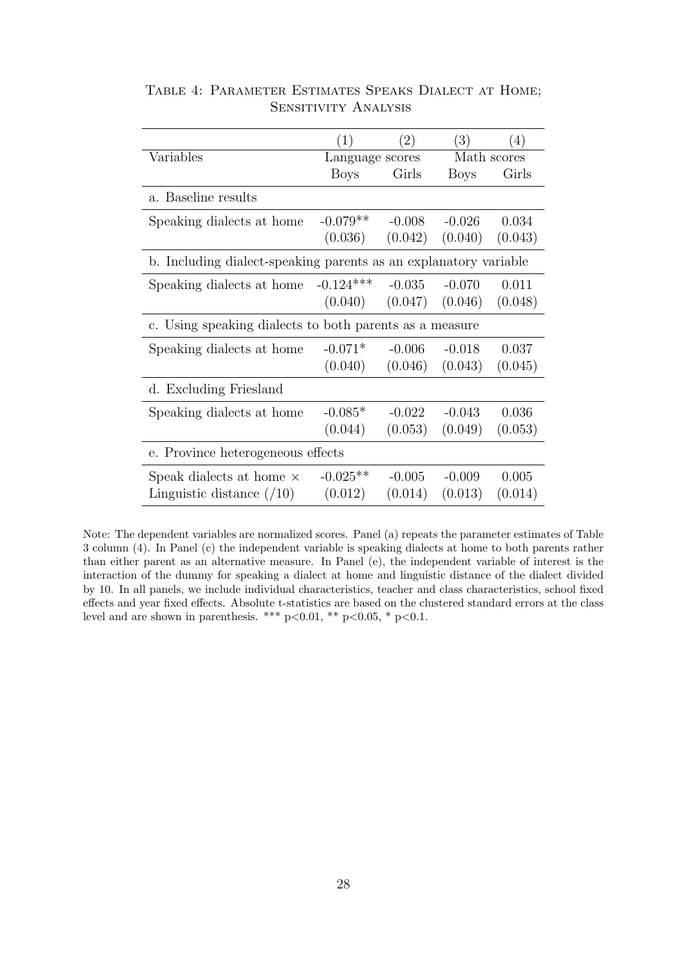|                                                                  | (1)         | (2)             | (3)         | (4)         |  |
|------------------------------------------------------------------|-------------|-----------------|-------------|-------------|--|
| Variables                                                        |             | Language scores |             | Math scores |  |
|                                                                  | <b>Boys</b> | Girls           | <b>Boys</b> | Girls       |  |
| a. Baseline results                                              |             |                 |             |             |  |
| Speaking dialects at home                                        | $-0.079**$  | $-0.008$        | $-0.026$    | 0.034       |  |
|                                                                  | (0.036)     | (0.042)         | (0.040)     | (0.043)     |  |
| b. Including dialect-speaking parents as an explanatory variable |             |                 |             |             |  |
| Speaking dialects at home                                        | $-0.124***$ | $-0.035$        | $-0.070$    | 0.011       |  |
|                                                                  | (0.040)     | (0.047)         | (0.046)     | (0.048)     |  |
| c. Using speaking dialects to both parents as a measure          |             |                 |             |             |  |
| Speaking dialects at home                                        | $-0.071*$   | $-0.006$        | $-0.018$    | 0.037       |  |
|                                                                  | (0.040)     | (0.046)         | (0.043)     | (0.045)     |  |
| d. Excluding Friesland                                           |             |                 |             |             |  |
| Speaking dialects at home                                        | $-0.085*$   | $-0.022$        | $-0.043$    | 0.036       |  |
|                                                                  | (0.044)     | (0.053)         | (0.049)     | (0.053)     |  |
| e. Province heterogeneous effects                                |             |                 |             |             |  |
| Speak dialects at home $\times$                                  | $-0.025**$  | $-0.005$        | $-0.009$    | 0.005       |  |
| Linguistic distance $(10)$                                       | (0.012)     | (0.014)         | (0.013)     | (0.014)     |  |

Table 4: Parameter Estimates Speaks Dialect at Home; SENSITIVITY ANALYSIS

Note: The dependent variables are normalized scores. Panel (a) repeats the parameter estimates of Table 3 column (4). In Panel (c) the independent variable is speaking dialects at home to both parents rather than either parent as an alternative measure. In Panel (e), the independent variable of interest is the interaction of the dummy for speaking a dialect at home and linguistic distance of the dialect divided by 10. In all panels, we include individual characteristics, teacher and class characteristics, school fixed effects and year fixed effects. Absolute t-statistics are based on the clustered standard errors at the class level and are shown in parenthesis. \*\*\*  $p<0.01$ , \*\*  $p<0.05$ , \*  $p<0.1$ .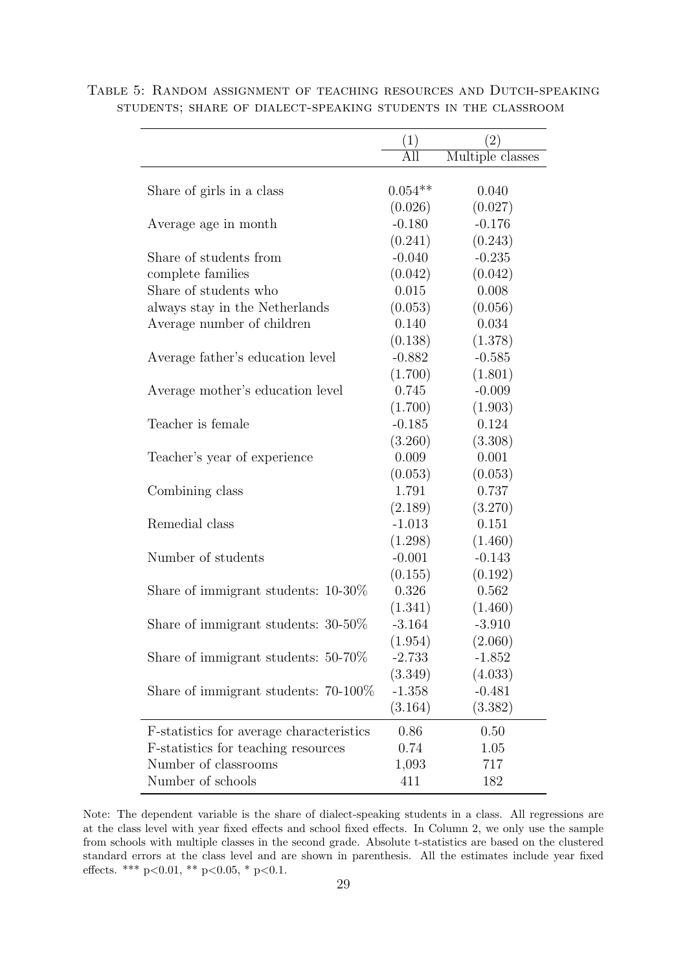|                                          | (1)       | (2)              |
|------------------------------------------|-----------|------------------|
|                                          | All       | Multiple classes |
|                                          |           |                  |
| Share of girls in a class                | $0.054**$ | 0.040            |
|                                          | (0.026)   | (0.027)          |
| Average age in month                     | $-0.180$  | $-0.176$         |
|                                          | (0.241)   | (0.243)          |
| Share of students from                   | $-0.040$  | $-0.235$         |
| complete families                        | (0.042)   | (0.042)          |
| Share of students who                    | 0.015     | 0.008            |
| always stay in the Netherlands           | (0.053)   | (0.056)          |
| Average number of children               | 0.140     | 0.034            |
|                                          | (0.138)   | (1.378)          |
| Average father's education level         | $-0.882$  | $-0.585$         |
|                                          | (1.700)   | (1.801)          |
| Average mother's education level         | 0.745     | $-0.009$         |
|                                          | (1.700)   | (1.903)          |
| Teacher is female                        | $-0.185$  | 0.124            |
|                                          | (3.260)   | (3.308)          |
| Teacher's year of experience             | 0.009     | 0.001            |
|                                          | (0.053)   | (0.053)          |
| Combining class                          | 1.791     | 0.737            |
|                                          | (2.189)   | (3.270)          |
| Remedial class                           | $-1.013$  | 0.151            |
|                                          | (1.298)   | (1.460)          |
| Number of students                       | $-0.001$  | $-0.143$         |
|                                          | (0.155)   | (0.192)          |
| Share of immigrant students: $10-30\%$   | 0.326     | 0.562            |
|                                          | (1.341)   | (1.460)          |
| Share of immigrant students: $30-50\%$   | $-3.164$  | $-3.910$         |
|                                          | (1.954)   | (2.060)          |
| Share of immigrant students: $50-70\%$   | $-2.733$  | $-1.852$         |
|                                          | (3.349)   | (4.033)          |
| Share of immigrant students: $70-100\%$  | $-1.358$  | $-0.481$         |
|                                          | (3.164)   | (3.382)          |
| F-statistics for average characteristics | 0.86      | 0.50             |
| F-statistics for teaching resources      | 0.74      | 1.05             |
| Number of classrooms                     | 1,093     | 717              |
| Number of schools                        | 411       | 182              |

Table 5: Random assignment of teaching resources and Dutch-speaking students; share of dialect-speaking students in the classroom

Note: The dependent variable is the share of dialect-speaking students in a class. All regressions are at the class level with year fixed effects and school fixed effects. In Column 2, we only use the sample from schools with multiple classes in the second grade. Absolute t-statistics are based on the clustered standard errors at the class level and are shown in parenthesis. All the estimates include year fixed effects. \*\*\*  $p<0.01$ , \*\*  $p<0.05$ , \*  $p<0.1$ .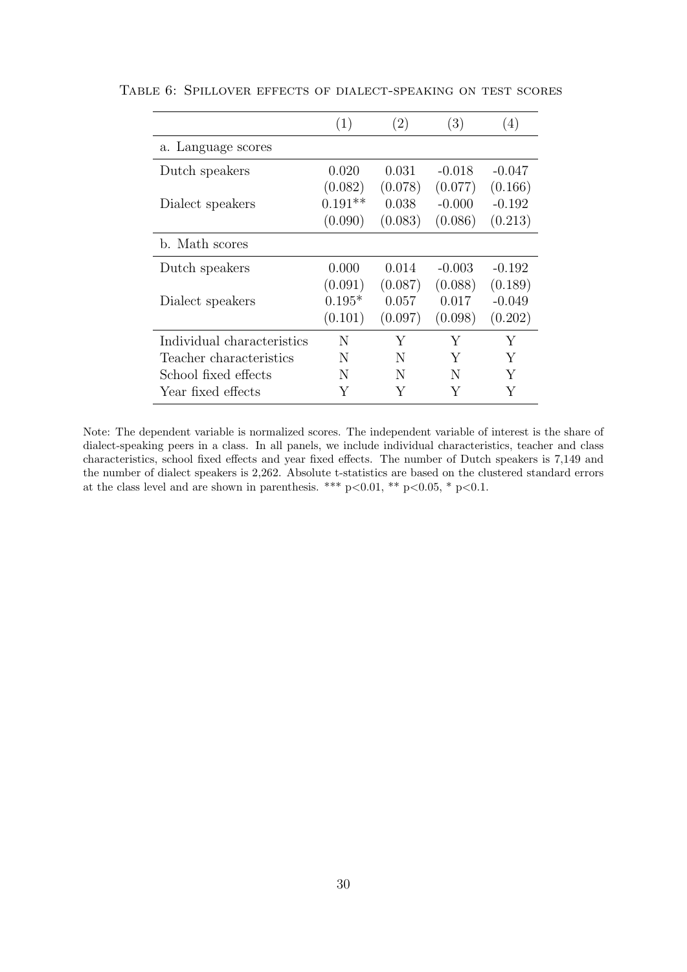|                            | (1)       | $\left( 2\right)$ | (3)      | (4)      |
|----------------------------|-----------|-------------------|----------|----------|
| a. Language scores         |           |                   |          |          |
| Dutch speakers             | 0.020     | 0.031             | $-0.018$ | $-0.047$ |
|                            | (0.082)   | (0.078)           | (0.077)  | (0.166)  |
| Dialect speakers           | $0.191**$ | 0.038             | $-0.000$ | $-0.192$ |
|                            | (0.090)   | (0.083)           | (0.086)  | (0.213)  |
| b. Math scores             |           |                   |          |          |
| Dutch speakers             | 0.000     | 0.014             | $-0.003$ | $-0.192$ |
|                            | (0.091)   | (0.087)           | (0.088)  | (0.189)  |
| Dialect speakers           | $0.195*$  | 0.057             | 0.017    | $-0.049$ |
|                            | (0.101)   | (0.097)           | (0.098)  | (0.202)  |
| Individual characteristics | N         | Y                 | Y        | Y        |
| Teacher characteristics    | N         | N                 | Y        | Y        |
| School fixed effects       | N         | N                 | N        | Y        |
| Year fixed effects         | Y         | Y                 | Y        | Y        |

Table 6: Spillover effects of dialect-speaking on test scores

Note: The dependent variable is normalized scores. The independent variable of interest is the share of dialect-speaking peers in a class. In all panels, we include individual characteristics, teacher and class characteristics, school fixed effects and year fixed effects. The number of Dutch speakers is 7,149 and the number of dialect speakers is 2,262. Absolute t-statistics are based on the clustered standard errors at the class level and are shown in parenthesis. \*\*\* p<0.01, \*\* p<0.05, \* p<0.1.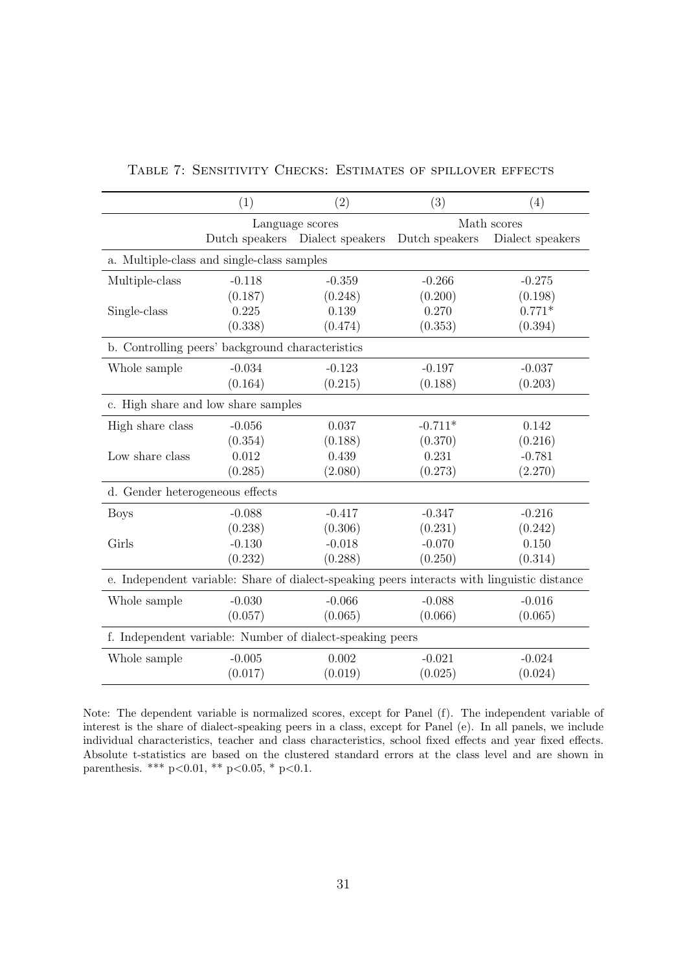|                                                                                             | (1)                                              | (2)              | (3)            | (4)              |  |  |
|---------------------------------------------------------------------------------------------|--------------------------------------------------|------------------|----------------|------------------|--|--|
|                                                                                             |                                                  | Language scores  |                | Math scores      |  |  |
|                                                                                             | Dutch speakers                                   | Dialect speakers | Dutch speakers | Dialect speakers |  |  |
|                                                                                             | a. Multiple-class and single-class samples       |                  |                |                  |  |  |
| Multiple-class                                                                              | $-0.118$                                         | $-0.359$         | $-0.266$       | $-0.275$         |  |  |
|                                                                                             | (0.187)                                          | (0.248)          | (0.200)        | (0.198)          |  |  |
| Single-class                                                                                | 0.225                                            | 0.139            | 0.270          | $0.771*$         |  |  |
|                                                                                             | (0.338)                                          | (0.474)          | (0.353)        | (0.394)          |  |  |
|                                                                                             | b. Controlling peers' background characteristics |                  |                |                  |  |  |
| Whole sample                                                                                | $-0.034$                                         | $-0.123$         | $-0.197$       | $-0.037$         |  |  |
|                                                                                             | (0.164)                                          | (0.215)          | (0.188)        | (0.203)          |  |  |
|                                                                                             | c. High share and low share samples              |                  |                |                  |  |  |
| High share class                                                                            | $-0.056$                                         | 0.037            | $-0.711*$      | 0.142            |  |  |
|                                                                                             | (0.354)                                          | (0.188)          | (0.370)        | (0.216)          |  |  |
| Low share class                                                                             | 0.012                                            | 0.439            | 0.231          | $-0.781$         |  |  |
|                                                                                             | (0.285)                                          | (2.080)          | (0.273)        | (2.270)          |  |  |
| d. Gender heterogeneous effects                                                             |                                                  |                  |                |                  |  |  |
| <b>Boys</b>                                                                                 | $-0.088$                                         | $-0.417$         | $-0.347$       | $-0.216$         |  |  |
|                                                                                             | (0.238)                                          | (0.306)          | (0.231)        | (0.242)          |  |  |
| Girls                                                                                       | $-0.130$                                         | $-0.018$         | $-0.070$       | 0.150            |  |  |
|                                                                                             | (0.232)                                          | (0.288)          | (0.250)        | (0.314)          |  |  |
| e. Independent variable: Share of dialect-speaking peers interacts with linguistic distance |                                                  |                  |                |                  |  |  |
| Whole sample                                                                                | $-0.030$                                         | $-0.066$         | $-0.088$       | $-0.016$         |  |  |
|                                                                                             | (0.057)                                          | (0.065)          | (0.066)        | (0.065)          |  |  |
| f. Independent variable: Number of dialect-speaking peers                                   |                                                  |                  |                |                  |  |  |
| Whole sample                                                                                | $-0.005$                                         | 0.002            | $-0.021$       | $-0.024$         |  |  |
|                                                                                             | (0.017)                                          | (0.019)          | (0.025)        | (0.024)          |  |  |

Table 7: Sensitivity Checks: Estimates of spillover effects

Note: The dependent variable is normalized scores, except for Panel (f). The independent variable of interest is the share of dialect-speaking peers in a class, except for Panel (e). In all panels, we include individual characteristics, teacher and class characteristics, school fixed effects and year fixed effects. Absolute t-statistics are based on the clustered standard errors at the class level and are shown in parenthesis. \*\*\* p<0.01, \*\* p<0.05, \* p<0.1.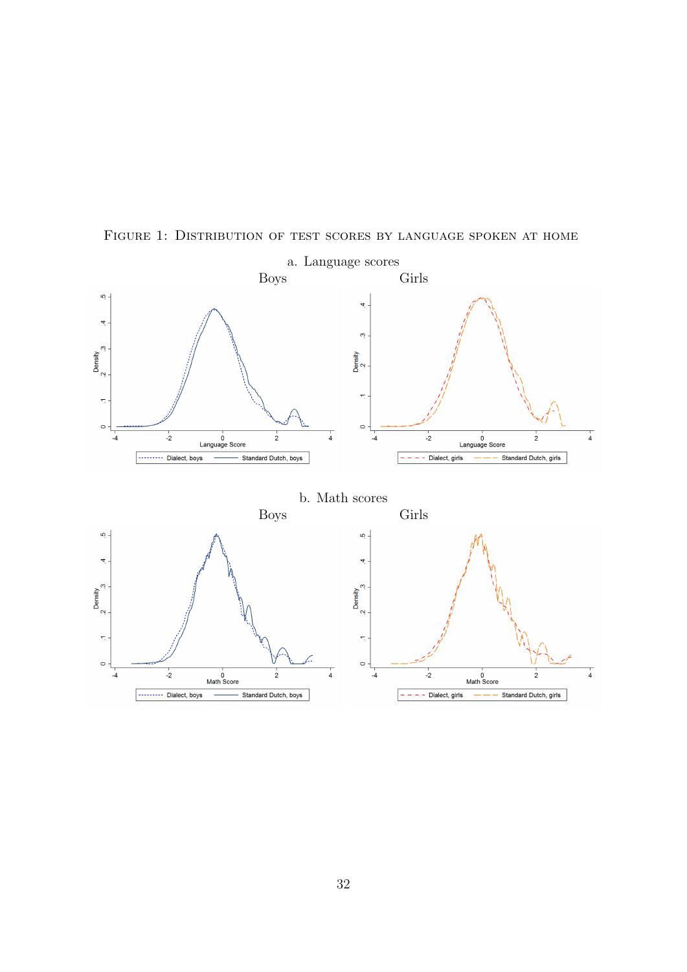

Figure 1: Distribution of test scores by language spoken at home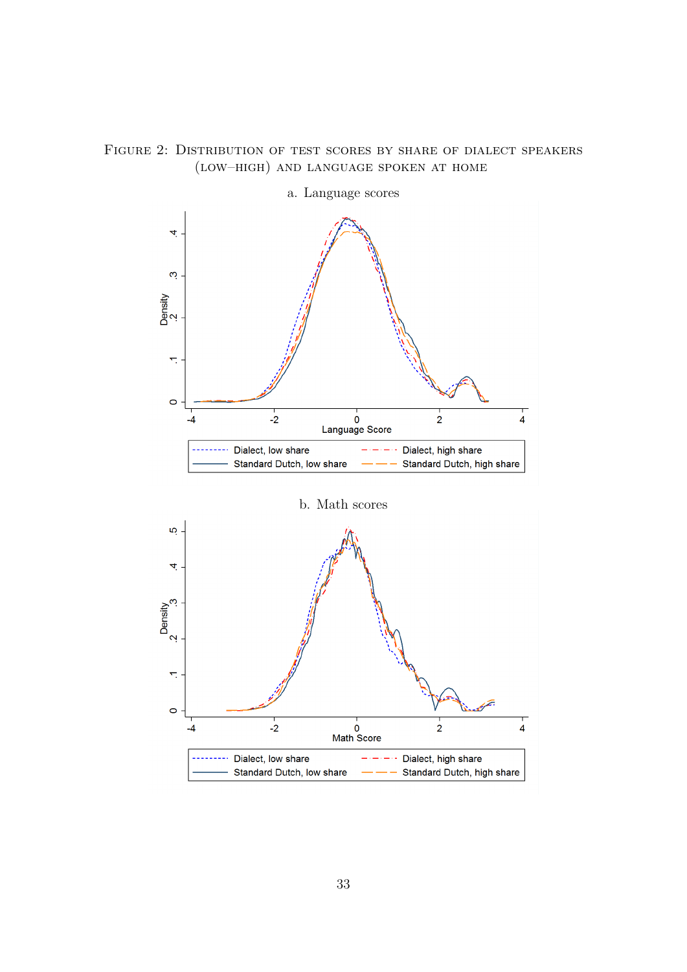FIGURE 2: DISTRIBUTION OF TEST SCORES BY SHARE OF DIALECT SPEAKERS (low–high) and language spoken at home

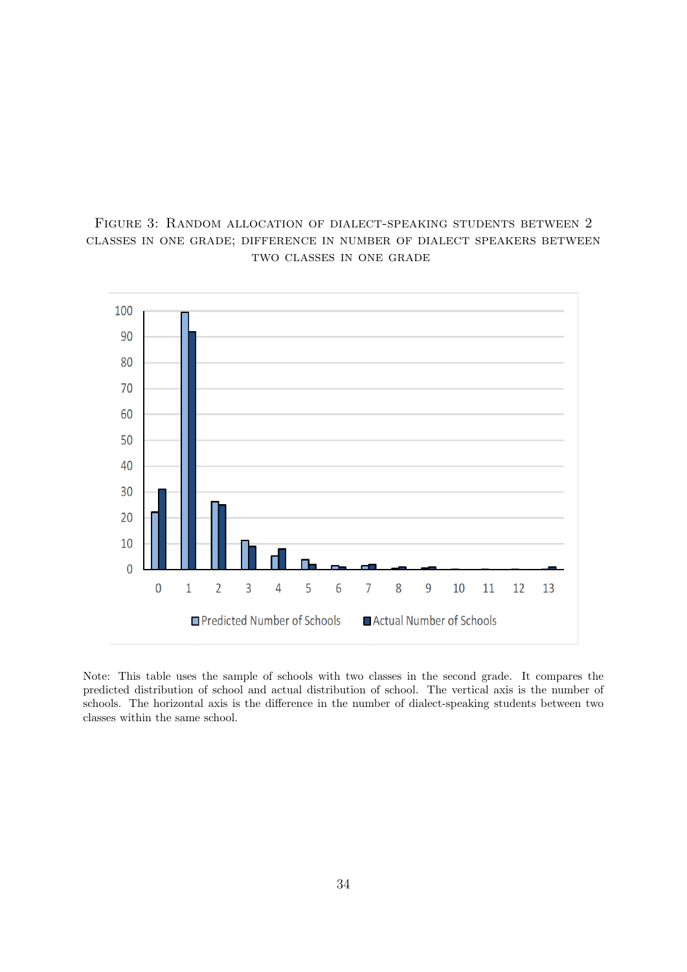### Figure 3: Random allocation of dialect-speaking students between 2 classes in one grade; difference in number of dialect speakers between two classes in one grade



Note: This table uses the sample of schools with two classes in the second grade. It compares the predicted distribution of school and actual distribution of school. The vertical axis is the number of schools. The horizontal axis is the difference in the number of dialect-speaking students between two classes within the same school.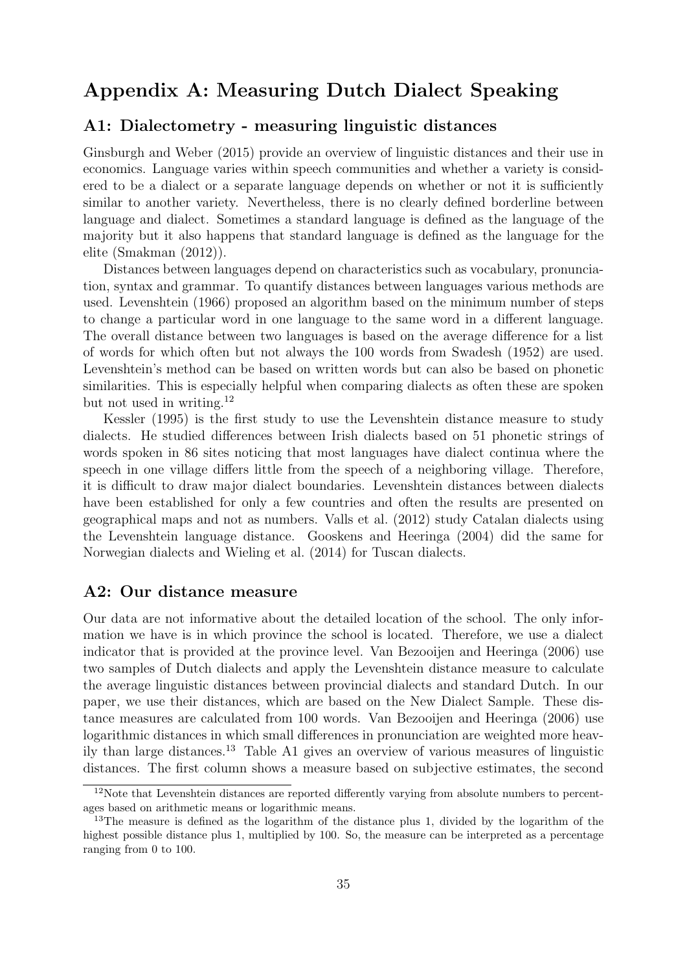# Appendix A: Measuring Dutch Dialect Speaking

### A1: Dialectometry - measuring linguistic distances

Ginsburgh and Weber (2015) provide an overview of linguistic distances and their use in economics. Language varies within speech communities and whether a variety is considered to be a dialect or a separate language depends on whether or not it is sufficiently similar to another variety. Nevertheless, there is no clearly defined borderline between language and dialect. Sometimes a standard language is defined as the language of the majority but it also happens that standard language is defined as the language for the elite (Smakman (2012)).

Distances between languages depend on characteristics such as vocabulary, pronunciation, syntax and grammar. To quantify distances between languages various methods are used. Levenshtein (1966) proposed an algorithm based on the minimum number of steps to change a particular word in one language to the same word in a different language. The overall distance between two languages is based on the average difference for a list of words for which often but not always the 100 words from Swadesh (1952) are used. Levenshtein's method can be based on written words but can also be based on phonetic similarities. This is especially helpful when comparing dialects as often these are spoken but not used in writing.<sup>12</sup>

Kessler (1995) is the first study to use the Levenshtein distance measure to study dialects. He studied differences between Irish dialects based on 51 phonetic strings of words spoken in 86 sites noticing that most languages have dialect continua where the speech in one village differs little from the speech of a neighboring village. Therefore, it is difficult to draw major dialect boundaries. Levenshtein distances between dialects have been established for only a few countries and often the results are presented on geographical maps and not as numbers. Valls et al. (2012) study Catalan dialects using the Levenshtein language distance. Gooskens and Heeringa (2004) did the same for Norwegian dialects and Wieling et al. (2014) for Tuscan dialects.

#### A2: Our distance measure

Our data are not informative about the detailed location of the school. The only information we have is in which province the school is located. Therefore, we use a dialect indicator that is provided at the province level. Van Bezooijen and Heeringa (2006) use two samples of Dutch dialects and apply the Levenshtein distance measure to calculate the average linguistic distances between provincial dialects and standard Dutch. In our paper, we use their distances, which are based on the New Dialect Sample. These distance measures are calculated from 100 words. Van Bezooijen and Heeringa (2006) use logarithmic distances in which small differences in pronunciation are weighted more heavily than large distances.<sup>13</sup> Table A1 gives an overview of various measures of linguistic distances. The first column shows a measure based on subjective estimates, the second

<sup>&</sup>lt;sup>12</sup>Note that Levenshtein distances are reported differently varying from absolute numbers to percentages based on arithmetic means or logarithmic means.

<sup>&</sup>lt;sup>13</sup>The measure is defined as the logarithm of the distance plus 1, divided by the logarithm of the highest possible distance plus 1, multiplied by 100. So, the measure can be interpreted as a percentage ranging from 0 to 100.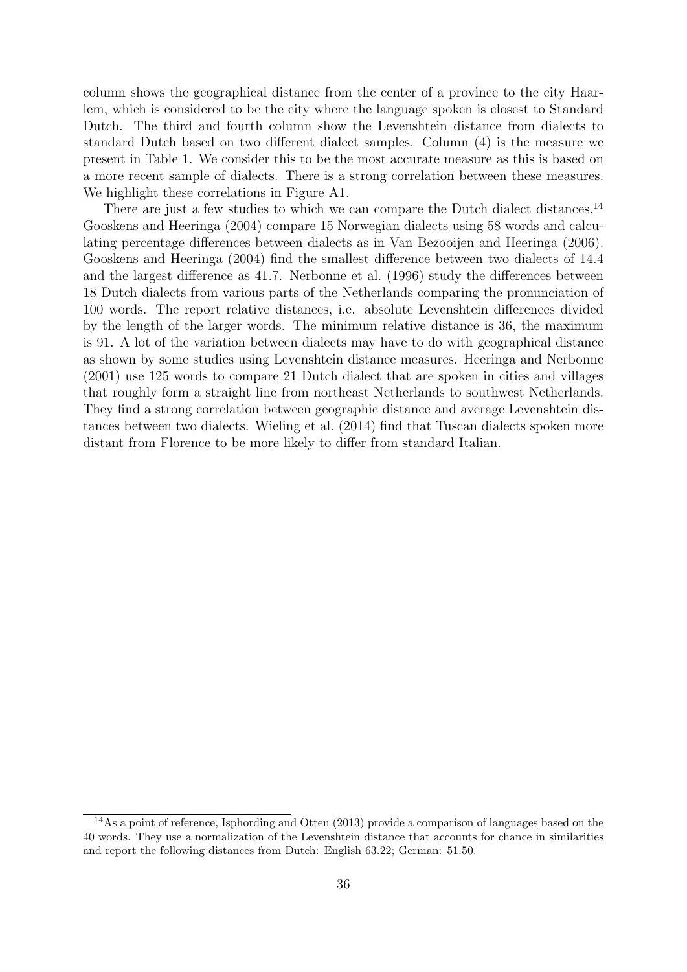column shows the geographical distance from the center of a province to the city Haarlem, which is considered to be the city where the language spoken is closest to Standard Dutch. The third and fourth column show the Levenshtein distance from dialects to standard Dutch based on two different dialect samples. Column (4) is the measure we present in Table 1. We consider this to be the most accurate measure as this is based on a more recent sample of dialects. There is a strong correlation between these measures. We highlight these correlations in Figure A1.

There are just a few studies to which we can compare the Dutch dialect distances.<sup>14</sup> Gooskens and Heeringa (2004) compare 15 Norwegian dialects using 58 words and calculating percentage differences between dialects as in Van Bezooijen and Heeringa (2006). Gooskens and Heeringa (2004) find the smallest difference between two dialects of 14.4 and the largest difference as 41.7. Nerbonne et al. (1996) study the differences between 18 Dutch dialects from various parts of the Netherlands comparing the pronunciation of 100 words. The report relative distances, i.e. absolute Levenshtein differences divided by the length of the larger words. The minimum relative distance is 36, the maximum is 91. A lot of the variation between dialects may have to do with geographical distance as shown by some studies using Levenshtein distance measures. Heeringa and Nerbonne (2001) use 125 words to compare 21 Dutch dialect that are spoken in cities and villages that roughly form a straight line from northeast Netherlands to southwest Netherlands. They find a strong correlation between geographic distance and average Levenshtein distances between two dialects. Wieling et al. (2014) find that Tuscan dialects spoken more distant from Florence to be more likely to differ from standard Italian.

<sup>14</sup>As a point of reference, Isphording and Otten (2013) provide a comparison of languages based on the 40 words. They use a normalization of the Levenshtein distance that accounts for chance in similarities and report the following distances from Dutch: English 63.22; German: 51.50.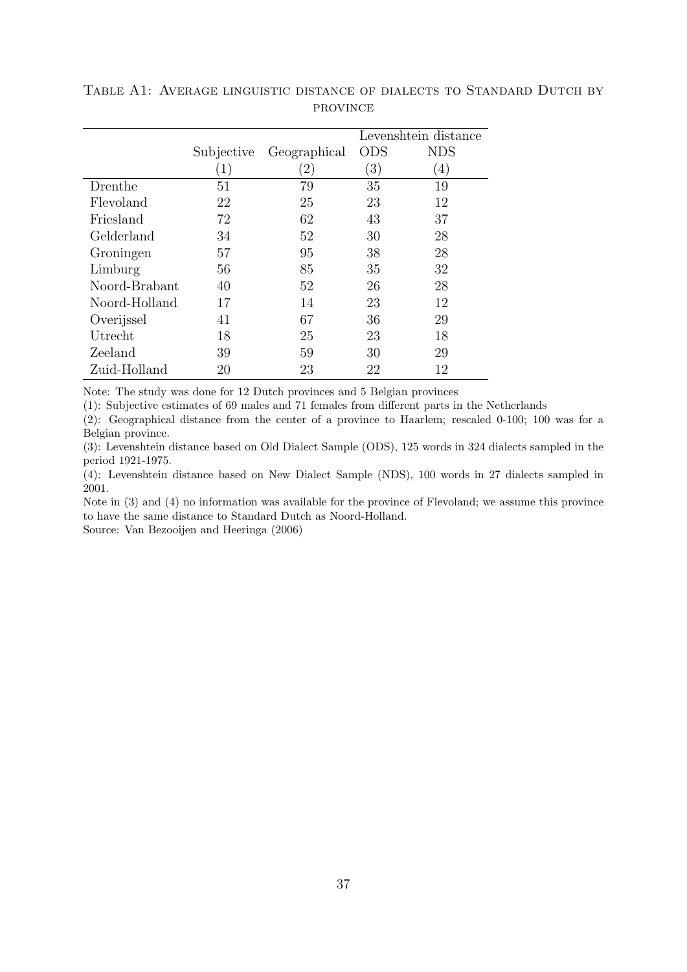|               |            |                  | Levenshtein distance |            |
|---------------|------------|------------------|----------------------|------------|
|               | Subjective | Geographical     | <b>ODS</b>           | <b>NDS</b> |
|               | (1)        | $\left(2\right)$ | $\left(3\right)$     | (4)        |
| Drenthe       | 51         | 79               | 35                   | 19         |
| Flevoland     | 22         | 25               | 23                   | 12         |
| Friesland     | 72         | 62               | 43                   | 37         |
| Gelderland    | 34         | 52               | 30                   | 28         |
| Groningen     | 57         | 95               | 38                   | 28         |
| Limburg       | 56         | 85               | 35                   | 32         |
| Noord-Brabant | 40         | 52               | 26                   | 28         |
| Noord-Holland | 17         | 14               | 23                   | 12         |
| Overijssel    | 41         | 67               | 36                   | 29         |
| Utrecht       | 18         | 25               | 23                   | 18         |
| Zeeland       | 39         | 59               | 30                   | 29         |
| Zuid-Holland  | 20         | 23               | 22                   | 12         |

Table A1: Average linguistic distance of dialects to Standard Dutch by province

Note: The study was done for 12 Dutch provinces and 5 Belgian provinces

(1): Subjective estimates of 69 males and 71 females from different parts in the Netherlands

(2): Geographical distance from the center of a province to Haarlem; rescaled 0-100; 100 was for a Belgian province.

(3): Levenshtein distance based on Old Dialect Sample (ODS), 125 words in 324 dialects sampled in the period 1921-1975.

(4): Levenshtein distance based on New Dialect Sample (NDS), 100 words in 27 dialects sampled in 2001.

Note in (3) and (4) no information was available for the province of Flevoland; we assume this province to have the same distance to Standard Dutch as Noord-Holland.

Source: Van Bezooijen and Heeringa (2006)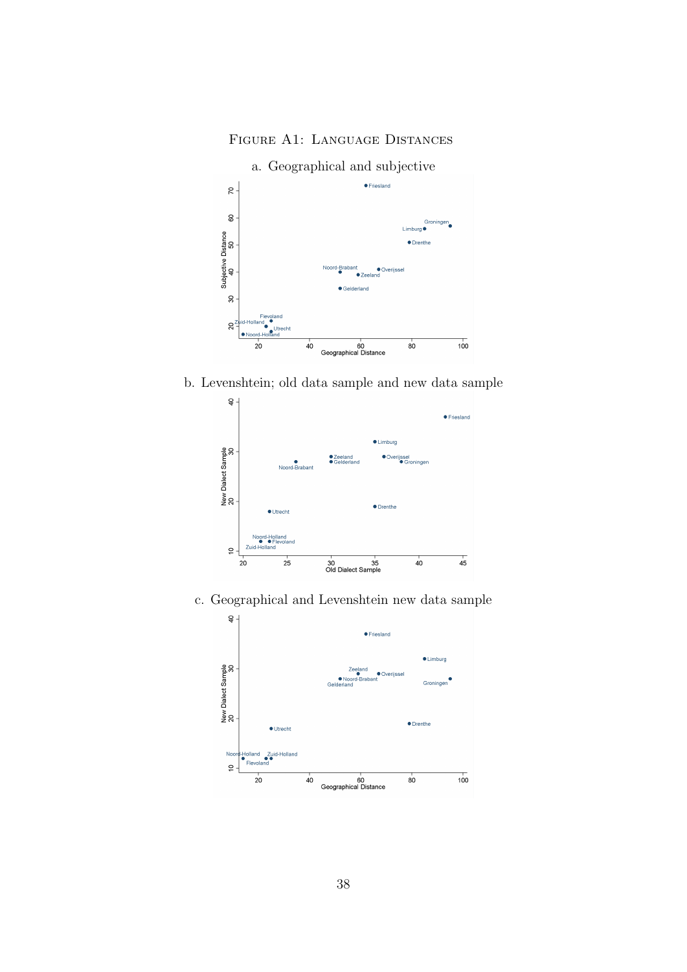Figure A1: Language Distances



b. Levenshtein; old data sample and new data sample



c. Geographical and Levenshtein new data sample

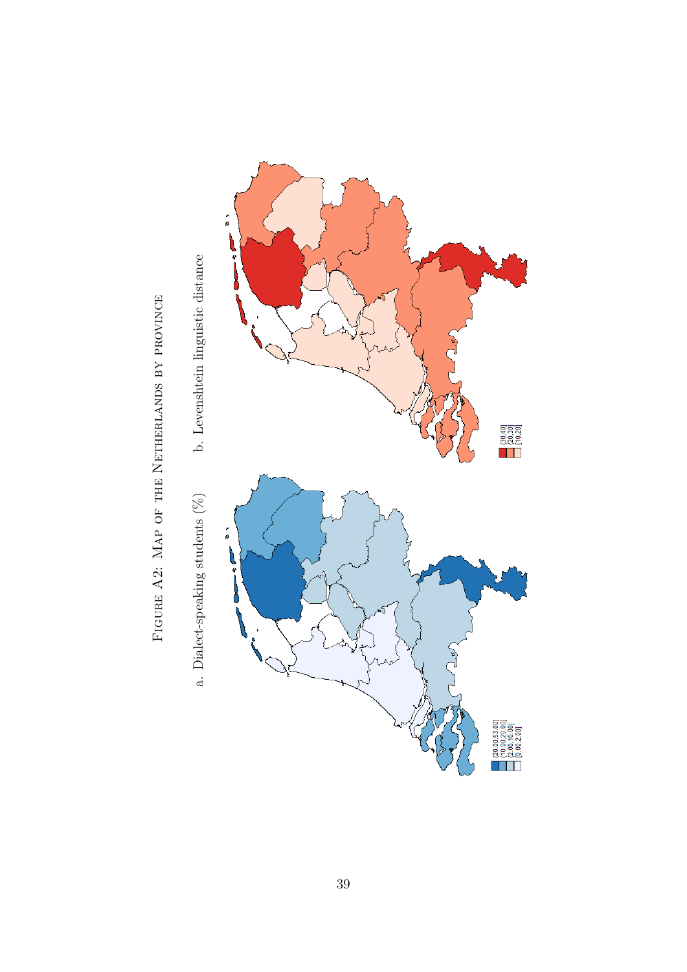



39